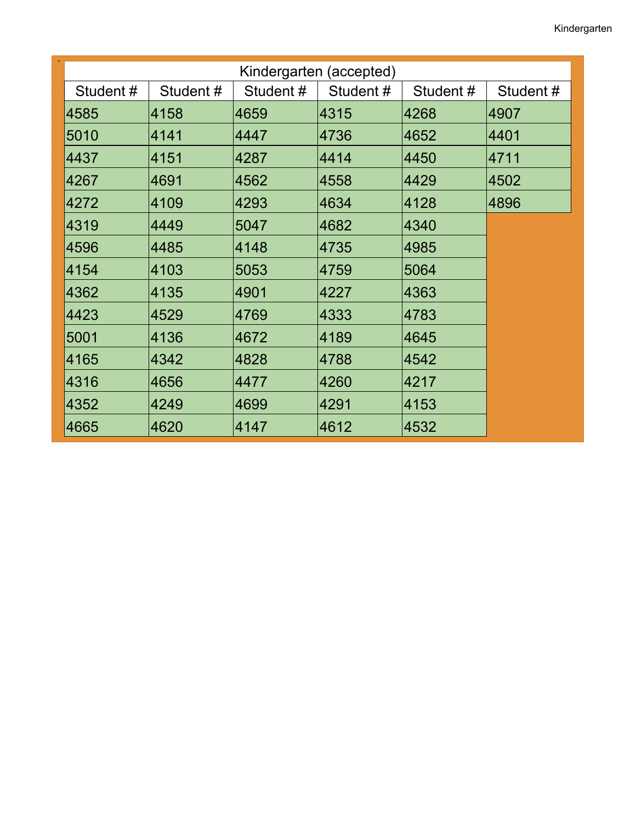| Kindergarten (accepted) |          |          |          |          |          |
|-------------------------|----------|----------|----------|----------|----------|
| Student#                | Student# | Student# | Student# | Student# | Student# |
| 4585                    | 4158     | 4659     | 4315     | 4268     | 4907     |
| 5010                    | 4141     | 4447     | 4736     | 4652     | 4401     |
| 4437                    | 4151     | 4287     | 4414     | 4450     | 4711     |
| 4267                    | 4691     | 4562     | 4558     | 4429     | 4502     |
| 4272                    | 4109     | 4293     | 4634     | 4128     | 4896     |
| 4319                    | 4449     | 5047     | 4682     | 4340     |          |
| 4596                    | 4485     | 4148     | 4735     | 4985     |          |
| 4154                    | 4103     | 5053     | 4759     | 5064     |          |
| 4362                    | 4135     | 4901     | 4227     | 4363     |          |
| 4423                    | 4529     | 4769     | 4333     | 4783     |          |
| 5001                    | 4136     | 4672     | 4189     | 4645     |          |
| 4165                    | 4342     | 4828     | 4788     | 4542     |          |
| 4316                    | 4656     | 4477     | 4260     | 4217     |          |
| 4352                    | 4249     | 4699     | 4291     | 4153     |          |
| 4665                    | 4620     | 4147     | 4612     | 4532     |          |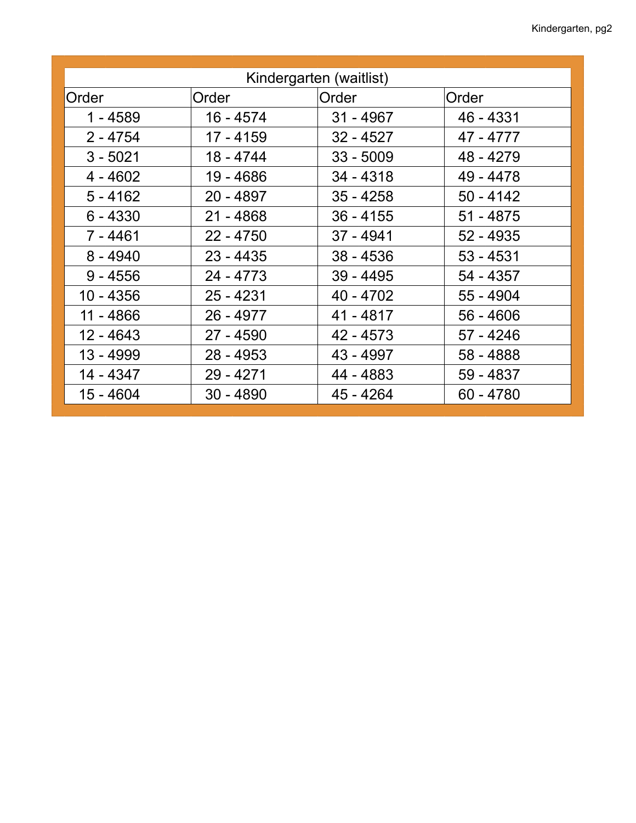| Kindergarten (waitlist) |             |             |             |  |  |  |
|-------------------------|-------------|-------------|-------------|--|--|--|
| Order                   | Order       | Order       | Order       |  |  |  |
| 1 - 4589                | 16 - 4574   | $31 - 4967$ | 46 - 4331   |  |  |  |
| $2 - 4754$              | 17 - 4159   | $32 - 4527$ | 47 - 4777   |  |  |  |
| $3 - 5021$              | 18 - 4744   | $33 - 5009$ | 48 - 4279   |  |  |  |
| $4 - 4602$              | 19 - 4686   | $34 - 4318$ | 49 - 4478   |  |  |  |
| $5 - 4162$              | 20 - 4897   | $35 - 4258$ | $50 - 4142$ |  |  |  |
| $6 - 4330$              | $21 - 4868$ | $36 - 4155$ | $51 - 4875$ |  |  |  |
| $7 - 4461$              | $22 - 4750$ | $37 - 4941$ | $52 - 4935$ |  |  |  |
| $8 - 4940$              | $23 - 4435$ | $38 - 4536$ | $53 - 4531$ |  |  |  |
| $9 - 4556$              | 24 - 4773   | $39 - 4495$ | 54 - 4357   |  |  |  |
| $10 - 4356$             | $25 - 4231$ | 40 - 4702   | 55 - 4904   |  |  |  |
| 11 - 4866               | 26 - 4977   | 41 - 4817   | $56 - 4606$ |  |  |  |
| 12 - 4643               | 27 - 4590   | 42 - 4573   | 57 - 4246   |  |  |  |
| 13 - 4999               | $28 - 4953$ | 43 - 4997   | 58 - 4888   |  |  |  |
| 14 - 4347               | 29 - 4271   | 44 - 4883   | 59 - 4837   |  |  |  |
| 15 - 4604               | $30 - 4890$ | 45 - 4264   | $60 - 4780$ |  |  |  |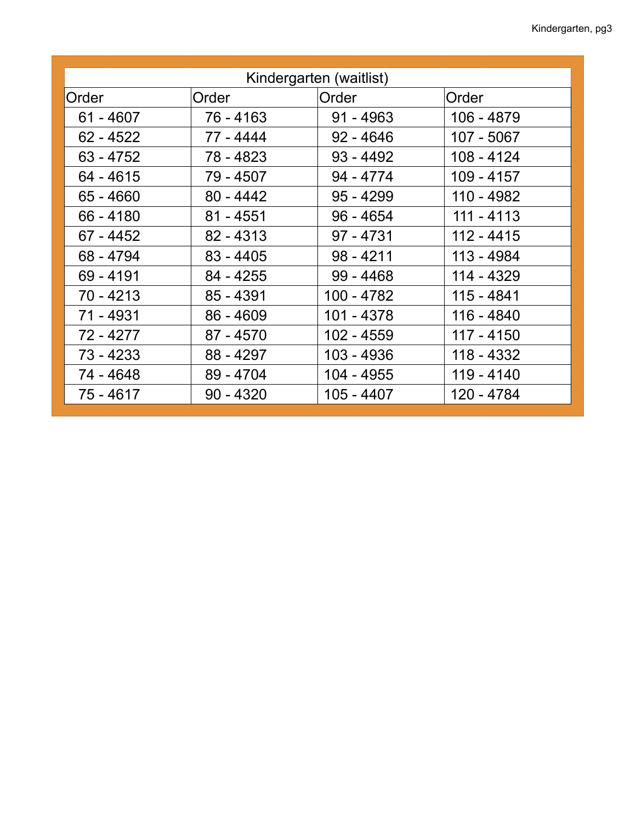| Kindergarten (waitlist) |             |             |              |  |  |  |
|-------------------------|-------------|-------------|--------------|--|--|--|
| Order                   | Order       | Order       | Order        |  |  |  |
| $61 - 4607$             | 76 - 4163   | $91 - 4963$ | 106 - 4879   |  |  |  |
| $62 - 4522$             | 77 - 4444   | $92 - 4646$ | 107 - 5067   |  |  |  |
| $63 - 4752$             | 78 - 4823   | $93 - 4492$ | 108 - 4124   |  |  |  |
| 64 - 4615               | 79 - 4507   | 94 - 4774   | 109 - 4157   |  |  |  |
| $65 - 4660$             | $80 - 4442$ | $95 - 4299$ | 110 - 4982   |  |  |  |
| $66 - 4180$             | $81 - 4551$ | $96 - 4654$ | $111 - 4113$ |  |  |  |
| $67 - 4452$             | $82 - 4313$ | $97 - 4731$ | $112 - 4415$ |  |  |  |
| 68 - 4794               | $83 - 4405$ | $98 - 4211$ | 113 - 4984   |  |  |  |
| $69 - 4191$             | $84 - 4255$ | $99 - 4468$ | 114 - 4329   |  |  |  |
| $70 - 4213$             | $85 - 4391$ | 100 - 4782  | 115 - 4841   |  |  |  |
| 71 - 4931               | $86 - 4609$ | 101 - 4378  | 116 - 4840   |  |  |  |
| 72 - 4277               | 87 - 4570   | 102 - 4559  | 117 - 4150   |  |  |  |
| $73 - 4233$             | 88 - 4297   | 103 - 4936  | 118 - 4332   |  |  |  |
| 74 - 4648               | 89 - 4704   | 104 - 4955  | 119 - 4140   |  |  |  |
| 75 - 4617               | $90 - 4320$ | 105 - 4407  | 120 - 4784   |  |  |  |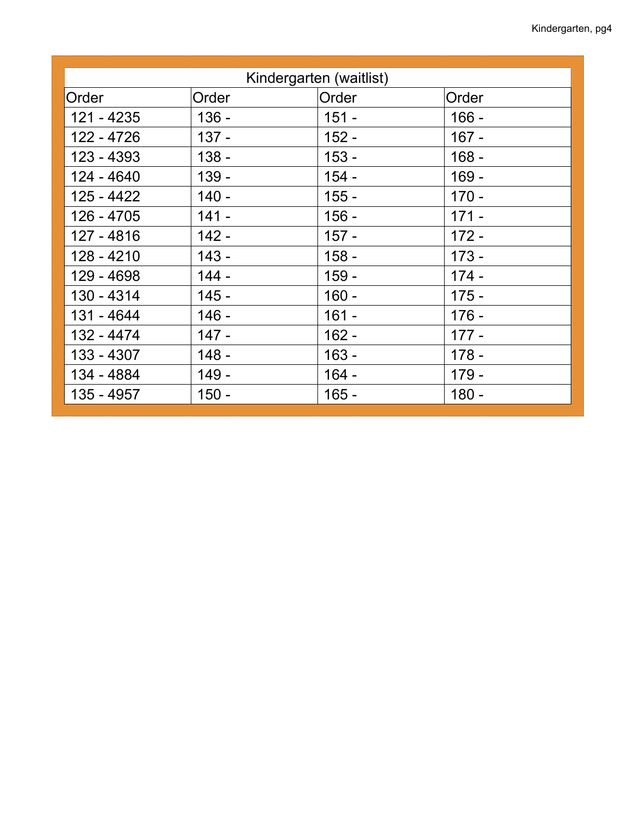| Kindergarten (waitlist) |         |         |         |  |  |
|-------------------------|---------|---------|---------|--|--|
| Order                   | Order   | Order   | Order   |  |  |
| 121 - 4235              | $136 -$ | $151 -$ | $166 -$ |  |  |
| 122 - 4726              | $137 -$ | $152 -$ | $167 -$ |  |  |
| 123 - 4393              | $138 -$ | $153 -$ | $168 -$ |  |  |
| 124 - 4640              | $139 -$ | $154 -$ | $169 -$ |  |  |
| 125 - 4422              | $140 -$ | $155 -$ | $170 -$ |  |  |
| 126 - 4705              | $141 -$ | $156 -$ | $171 -$ |  |  |
| 127 - 4816              | $142 -$ | $157 -$ | $172 -$ |  |  |
| 128 - 4210              | $143 -$ | $158 -$ | $173 -$ |  |  |
| 129 - 4698              | $144 -$ | $159 -$ | $174 -$ |  |  |
| 130 - 4314              | $145 -$ | $160 -$ | $175 -$ |  |  |
| 131 - 4644              | $146 -$ | $161 -$ | $176 -$ |  |  |
| 132 - 4474              | $147 -$ | $162 -$ | $177 -$ |  |  |
| 133 - 4307              | $148 -$ | $163 -$ | $178 -$ |  |  |
| 134 - 4884              | $149 -$ | $164 -$ | $179 -$ |  |  |
| 135 - 4957              | $150 -$ | $165 -$ | $180 -$ |  |  |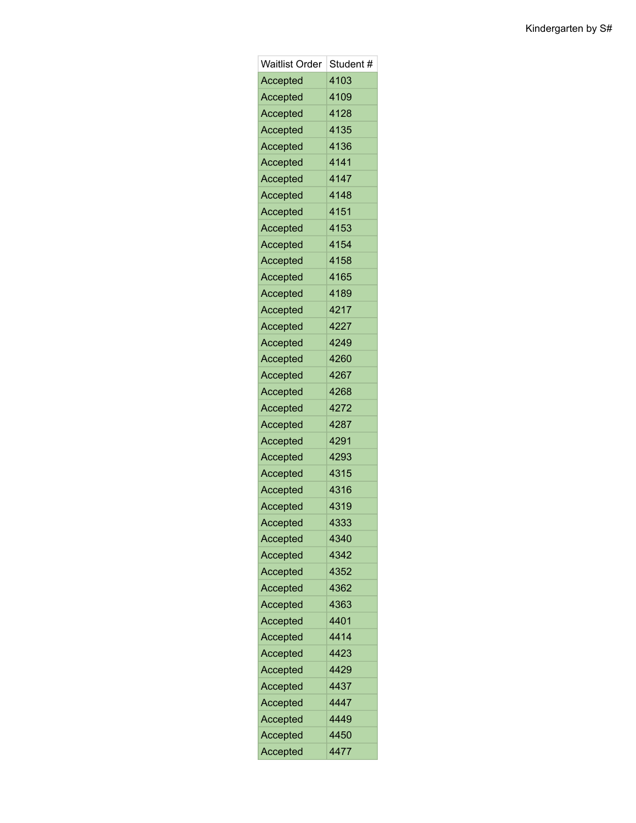| <b>Waitlist Order</b> | Student # |
|-----------------------|-----------|
| Accepted              | 4103      |
| Accepted              | 4109      |
| Accepted              | 4128      |
| Accepted              | 4135      |
| Accepted              | 4136      |
| Accepted              | 4141      |
| Accepted              | 4147      |
| Accepted              | 4148      |
| Accepted              | 4151      |
| Accepted              | 4153      |
| Accepted              | 4154      |
| Accepted              | 4158      |
| Accepted              | 4165      |
| Accepted              | 4189      |
| Accepted              | 4217      |
| Accepted              | 4227      |
| Accepted              | 4249      |
| Accepted              | 4260      |
| Accepted              | 4267      |
| Accepted              | 4268      |
| Accepted              | 4272      |
| Accepted              | 4287      |
| Accepted              | 4291      |
| Accepted              | 4293      |
| Accepted              | 4315      |
| Accepted              | 4316      |
| Accepted              | 4319      |
| Accepted              | 4333      |
| Accepted              | 4340      |
| Accepted              | 4342      |
| Accepted              | 4352      |
| Accepted              | 4362      |
| Accepted              | 4363      |
| Accepted              | 4401      |
| Accepted              | 4414      |
| Accepted              | 4423      |
| Accepted              | 4429      |
| Accepted              | 4437      |
| Accepted              | 4447      |
| Accepted              | 4449      |
| Accepted              | 4450      |
| Accepted              | 4477      |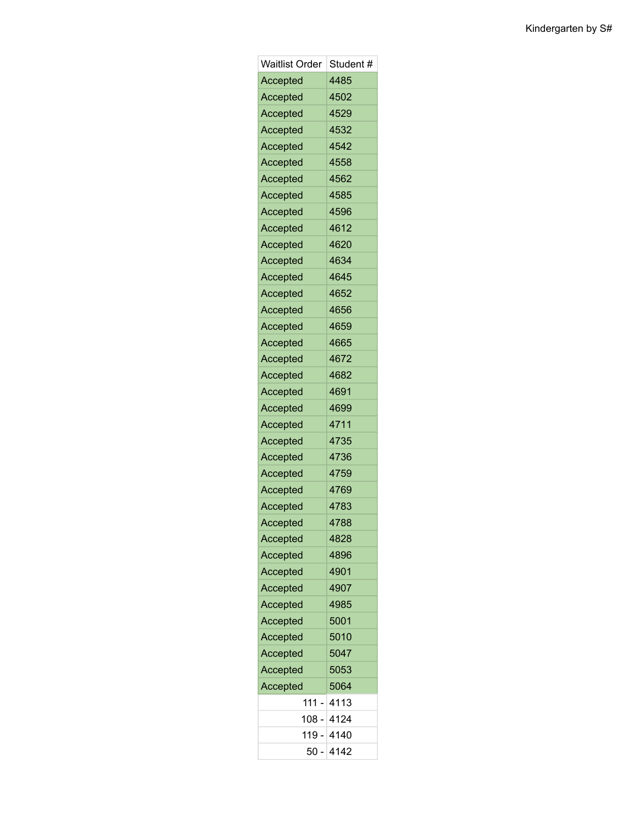| Waitlist Order | Student #          |
|----------------|--------------------|
| Accepted       | 4485               |
| Accepted       | 4502               |
| Accepted       | 4529               |
| Accepted       | 4532               |
| Accepted       | 4542               |
| Accepted       | 4558               |
| Accepted       | 4562               |
| Accepted       | 4585               |
| Accepted       | 4596               |
| Accepted       | 4612               |
| Accepted       | 4620               |
| Accepted       | 4634               |
| Accepted       | 4645               |
| Accepted       | 4652               |
| Accepted       | 4656               |
| Accepted       | 4659               |
| Accepted       | 4665               |
| Accepted       | 4672               |
| Accepted       | 4682               |
| Accepted       | 4691               |
| Accepted       | 4699               |
| Accepted       | 4711               |
| Accepted       | 4735               |
| Accepted       | 4736               |
| Accepted       | 4759               |
| Accepted       | 4769               |
| Accepted       | 4783               |
| Accepted       | 4788               |
| Accepted       | 4828               |
| Accepted       | 4896               |
| Accepted       | 4901               |
| Accepted       | 4907               |
| Accepted       | 4985               |
| Accepted       | 5001               |
| Accepted       | 5010               |
| Accepted       | 5047               |
| Accepted       | 5053               |
| Accepted       | 5064               |
| 111.           | 4113               |
|                | 4124<br>108 -      |
|                | 119 -<br>4140      |
|                | 4142<br>$50 \cdot$ |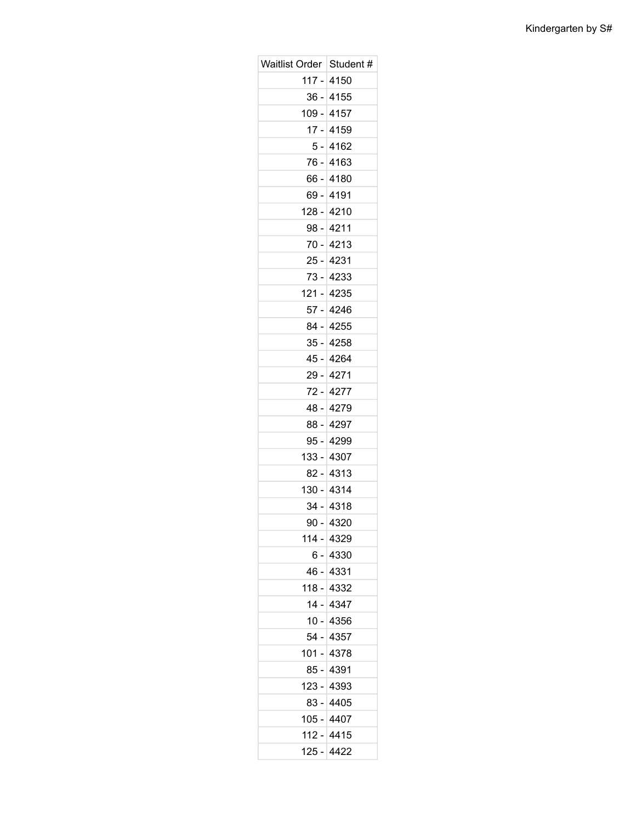| Waitlist Order   Student # |            |
|----------------------------|------------|
|                            | 117 - 4150 |
|                            | 36 - 4155  |
| $109 -$                    | 4157       |
|                            | 17 - 4159  |
|                            | 5 - 4162   |
| 76 -                       | 4163       |
|                            | 66 - 4180  |
|                            | 69 - 4191  |
|                            | 128 - 4210 |
|                            | 98 - 4211  |
| 70 -                       | 4213       |
|                            | 25 - 4231  |
|                            | 73 - 4233  |
| $121 -$                    | 4235       |
|                            | 57 - 4246  |
|                            | 84 - 4255  |
|                            | 35 - 4258  |
|                            | 45 - 4264  |
| 29 -                       | 4271       |
|                            | 72 - 4277  |
|                            | 48 - 4279  |
| 88 -                       | 4297       |
|                            | 95 - 4299  |
|                            | 133 - 4307 |
|                            | 82 - 4313  |
|                            | 130 - 4314 |
|                            | 34 - 4318  |
| $90 -$                     | 4320       |
|                            | 114 - 4329 |
|                            | 6 - 4330   |
|                            | 46 - 4331  |
| 118 -                      | 4332       |
|                            | 14 - 4347  |
|                            | 10 - 4356  |
| 54 -                       | 4357       |
|                            | 101 - 4378 |
|                            | 85 - 4391  |
| 123 -                      | 4393       |
|                            | 83 - 4405  |
| 105 -                      | 4407       |
| $112 -$                    | 4415       |
| 125 -                      | 4422       |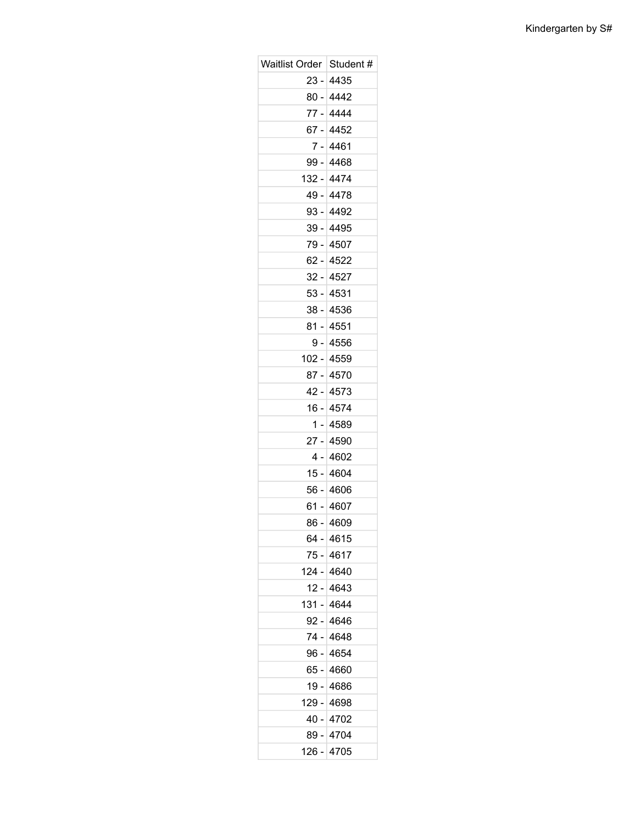| <b>Waitlist Order</b> | Student #  |
|-----------------------|------------|
|                       | 23 - 4435  |
|                       | 80 - 4442  |
|                       | 77 - 4444  |
|                       | 67 - 4452  |
|                       | 7 - 4461   |
|                       | 99 - 4468  |
|                       | 132 - 4474 |
|                       | 49 - 4478  |
|                       | 93 - 4492  |
|                       | 39 - 4495  |
|                       | 79 - 4507  |
|                       | 62 - 4522  |
|                       | 32 - 4527  |
|                       | 53 - 4531  |
|                       | 38 - 4536  |
|                       | 81 - 4551  |
|                       | $9 - 4556$ |
|                       | 102 - 4559 |
|                       | 87 - 4570  |
|                       | 42 - 4573  |
|                       | 16 - 4574  |
|                       | 1 - 4589   |
|                       | 27 - 4590  |
|                       | 4 -⊺4602   |
|                       | 15 - 4604  |
|                       | 56 - 4606  |
|                       | 61 - 4607  |
| $86 -$                | 4609       |
|                       | 64 - 4615  |
|                       | 75 - 4617  |
|                       | 124 - 4640 |
| 12 -                  | 4643       |
| 131 -                 | 4644       |
|                       | 92 - 4646  |
| 74 -                  | 4648       |
|                       | 96 - 4654  |
|                       | 65 - 4660  |
| 19 -                  | 4686       |
|                       | 129 - 4698 |
| 40 -                  | 4702       |
| 89 -                  | 4704       |
| 126 -                 | 4705       |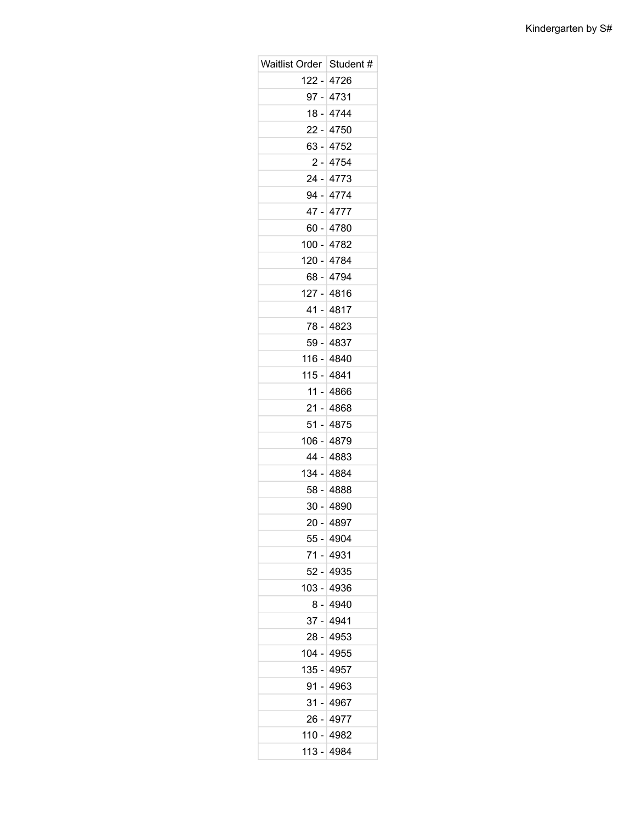| Waitlist Order   Student # |             |
|----------------------------|-------------|
|                            | 122 - 4726  |
|                            | 97 - 4731   |
|                            | 18 - 4744   |
|                            | $22 - 4750$ |
|                            | 63 - 4752   |
|                            | $2 - 4754$  |
|                            | 24 - 4773   |
|                            | 94 - 4774   |
|                            | 47 - 4777   |
|                            | 60 - 4780   |
|                            | 100 - 4782  |
|                            | 120 - 4784  |
|                            | 68 - 4794   |
|                            | 127 - 4816  |
|                            | 41 - 4817   |
|                            | 78 - 4823   |
|                            | 59 - 4837   |
|                            | 116 - 4840  |
|                            | 115 - 4841  |
|                            | 11 - 4866   |
|                            | 21 - 4868   |
|                            | 51 - 4875   |
|                            | 106 - 4879  |
|                            | 44 - 4883   |
|                            | 134 - 4884  |
|                            | 58 - 4888   |
|                            | 30 - 4890   |
| $20 -$                     | 4897        |
|                            | 55 - 4904   |
| 71 -                       | 4931        |
|                            | 52 - 4935   |
| 103 -                      | 4936        |
|                            | $8 - 4940$  |
|                            | 37 - 4941   |
| 28 -                       | 4953        |
|                            | 104 - 4955  |
|                            | 135 - 4957  |
| 91 -                       | 4963        |
|                            | 31 - 4967   |
| 26 -                       | 4977        |
| 110 -                      | 4982        |
| 113 -                      | 4984        |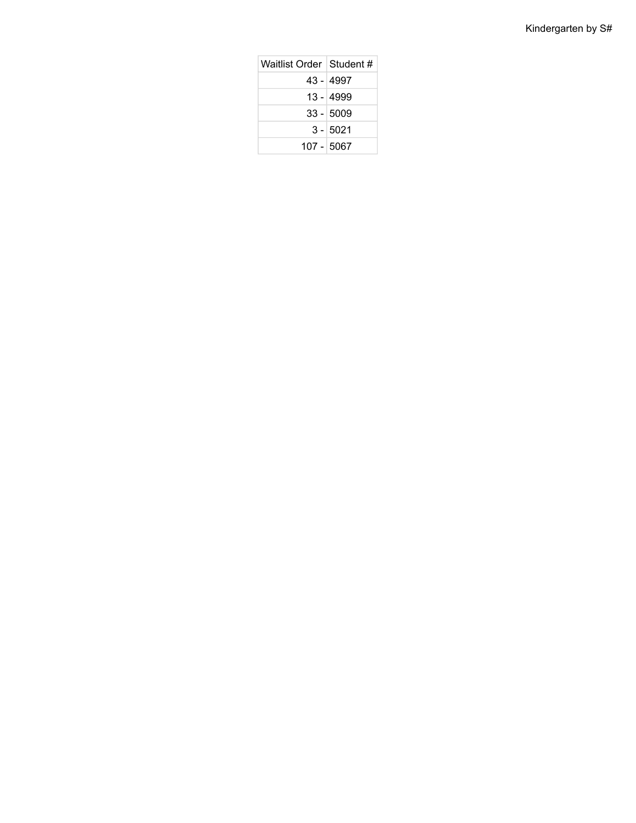| Waitlist Order ⊺Student # |             |
|---------------------------|-------------|
|                           | 43 - 4997   |
|                           | 13 - 4999   |
|                           | $33 - 5009$ |
|                           | $3 - 5021$  |
| 107 - 5067                |             |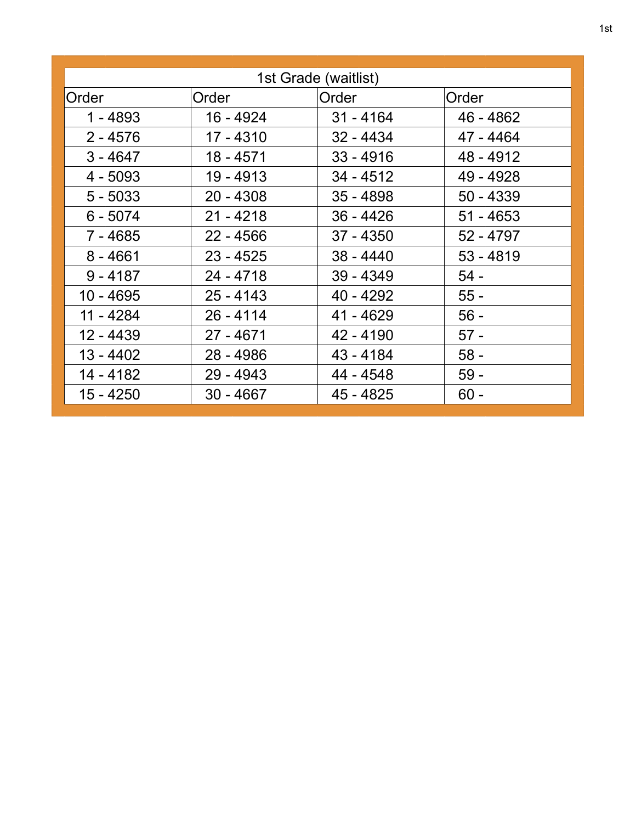| 1st Grade (waitlist) |             |             |             |  |  |
|----------------------|-------------|-------------|-------------|--|--|
| Order                | Order       | Order       | Order       |  |  |
| $1 - 4893$           | 16 - 4924   | $31 - 4164$ | 46 - 4862   |  |  |
| $2 - 4576$           | 17 - 4310   | $32 - 4434$ | 47 - 4464   |  |  |
| $3 - 4647$           | 18 - 4571   | $33 - 4916$ | 48 - 4912   |  |  |
| $4 - 5093$           | 19 - 4913   | $34 - 4512$ | 49 - 4928   |  |  |
| $5 - 5033$           | $20 - 4308$ | $35 - 4898$ | $50 - 4339$ |  |  |
| $6 - 5074$           | $21 - 4218$ | $36 - 4426$ | $51 - 4653$ |  |  |
| 7 - 4685             | $22 - 4566$ | $37 - 4350$ | 52 - 4797   |  |  |
| $8 - 4661$           | $23 - 4525$ | $38 - 4440$ | $53 - 4819$ |  |  |
| $9 - 4187$           | $24 - 4718$ | $39 - 4349$ | $54 -$      |  |  |
| 10 - 4695            | $25 - 4143$ | 40 - 4292   | $55 -$      |  |  |
| 11 - 4284            | $26 - 4114$ | 41 - 4629   | $56 -$      |  |  |
| 12 - 4439            | $27 - 4671$ | 42 - 4190   | $57 -$      |  |  |
| $13 - 4402$          | 28 - 4986   | 43 - 4184   | $58 -$      |  |  |
| 14 - 4182            | $29 - 4943$ | 44 - 4548   | $59 -$      |  |  |
| 15 - 4250            | $30 - 4667$ | 45 - 4825   | $60 -$      |  |  |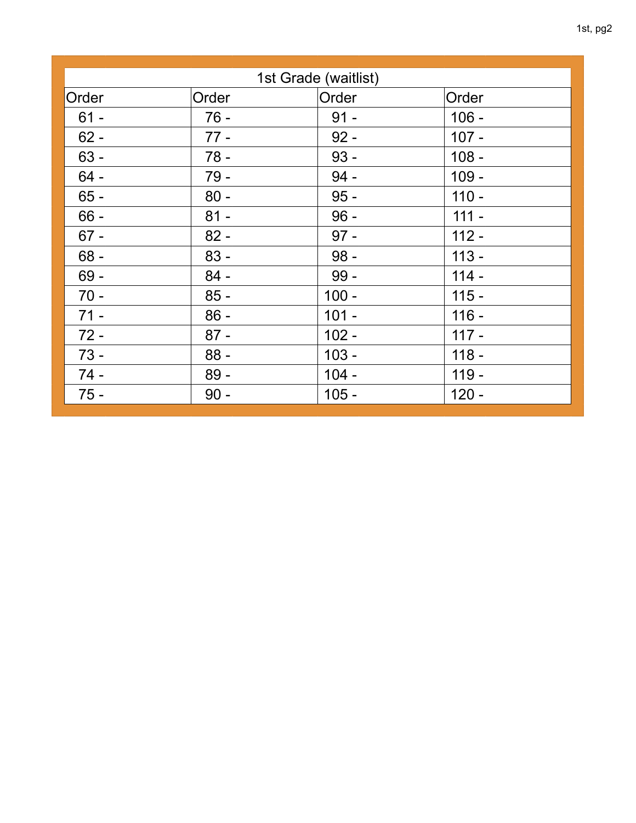| 1st Grade (waitlist) |        |         |         |  |  |
|----------------------|--------|---------|---------|--|--|
| Order                | Order  | Order   | Order   |  |  |
| $61 -$               | $76 -$ | $91 -$  | $106 -$ |  |  |
| $62 -$               | $77 -$ | $92 -$  | $107 -$ |  |  |
| $63 -$               | $78 -$ | $93 -$  | $108 -$ |  |  |
| $64 -$               | $79 -$ | $94 -$  | $109 -$ |  |  |
| $65 -$               | $80 -$ | $95 -$  | $110 -$ |  |  |
| $66 -$               | $81 -$ | $96 -$  | $111 -$ |  |  |
| $67 -$               | $82 -$ | $97 -$  | $112 -$ |  |  |
| $68 -$               | $83 -$ | $98 -$  | $113 -$ |  |  |
| $69 -$               | $84 -$ | $99-$   | $114 -$ |  |  |
| $70 -$               | $85 -$ | $100 -$ | $115 -$ |  |  |
| $71 -$               | $86 -$ | $101 -$ | $116 -$ |  |  |
| $72 -$               | $87 -$ | $102 -$ | $117 -$ |  |  |
| $73 -$               | $88 -$ | $103 -$ | $118 -$ |  |  |
| $74 -$               | $89 -$ | $104 -$ | $119 -$ |  |  |
| $75 -$               | $90 -$ | $105 -$ | $120 -$ |  |  |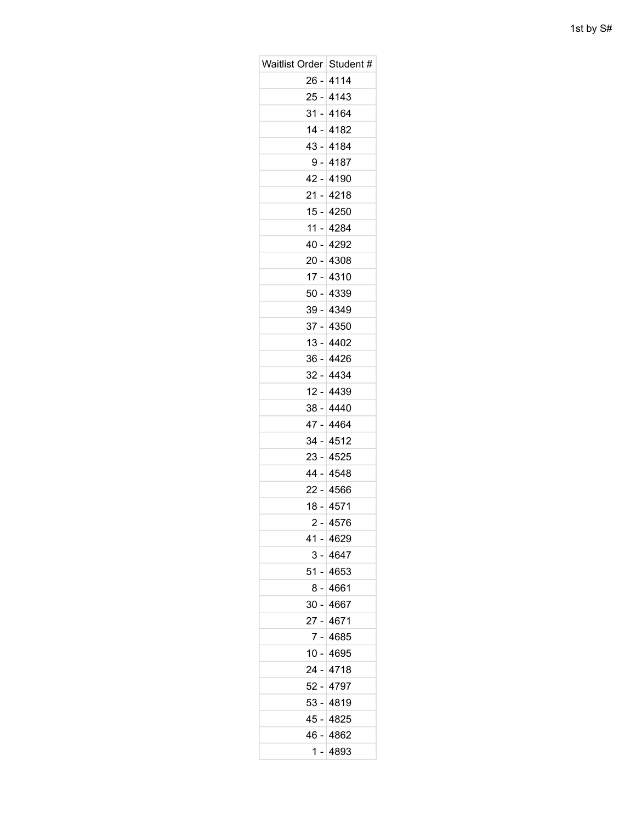| Waitlist Order   Student # |             |
|----------------------------|-------------|
|                            | $26 - 4114$ |
|                            | $25 - 4143$ |
|                            | $31 - 4164$ |
|                            | 14 - 4182   |
| 43 -                       | 4184        |
|                            | $9 - 4187$  |
|                            | 42 - 4190   |
| $21 -$                     | 4218        |
|                            | 15 - 4250   |
| 11 -                       | 4284        |
| 40 -                       | 4292        |
|                            | $20 - 4308$ |
| $17 -$                     | 4310        |
|                            | 50 - 4339   |
|                            | 39 - 4349   |
| $37 -$                     | 4350        |
|                            | $13 - 4402$ |
|                            | 36 - 4426   |
| $32 -$                     | 4434        |
|                            | 12 - 4439   |
| 38 -                       | 4440        |
|                            | 47 - 4464   |
|                            | 34 - 4512   |
| $23 -$                     | 4525        |
|                            | 44 - 4548   |
| 22 -                       | 4566        |
| $18 -$                     | 4571        |
|                            | 2 - 4576    |
|                            | 41 - 4629   |
|                            | 3 - 4647    |
|                            | 51 - 4653   |
| 8 -                        | 4661        |
|                            | 30 - 4667   |
| 27 -                       | 4671        |
| $7 -$                      | 4685        |
|                            | 10 - 4695   |
| 24 -                       | 4718        |
|                            | 52 - 4797   |
|                            | 53 - 4819   |
| 45 -                       | 4825        |
|                            | 46 - 4862   |
| 1 -                        | 4893        |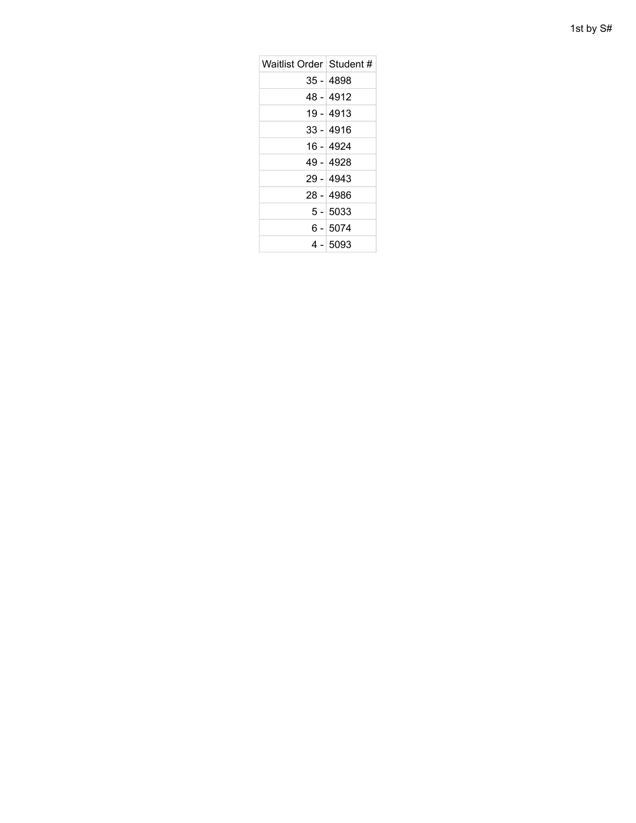| 1st by S# |  |  |
|-----------|--|--|
|-----------|--|--|

| Waitlist Order Student # |             |
|--------------------------|-------------|
|                          | $35 - 4898$ |
|                          | 48 - 4912   |
|                          | 19 - 4913   |
|                          | $33 - 4916$ |
|                          | 16 - 4924   |
|                          | 49 - 4928   |
|                          | $29 - 4943$ |
|                          | $28 - 4986$ |
|                          | $5 - 5033$  |
|                          | 6 - 5074    |
|                          | 4 - 5093    |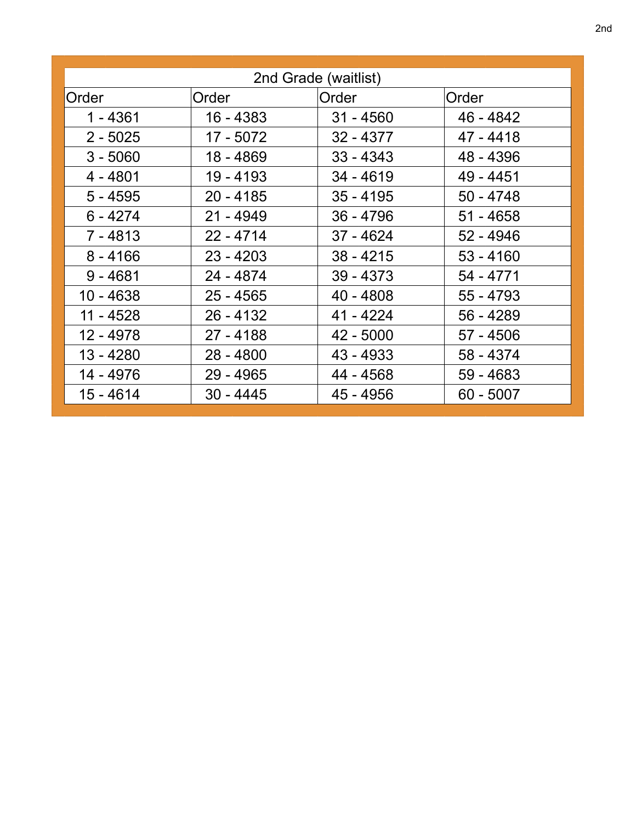| 2nd Grade (waitlist) |             |             |             |  |
|----------------------|-------------|-------------|-------------|--|
| Order                | Order       | Order       | Order       |  |
| $1 - 4361$           | 16 - 4383   | $31 - 4560$ | 46 - 4842   |  |
| $2 - 5025$           | 17 - 5072   | $32 - 4377$ | 47 - 4418   |  |
| $3 - 5060$           | 18 - 4869   | $33 - 4343$ | 48 - 4396   |  |
| $4 - 4801$           | 19 - 4193   | $34 - 4619$ | 49 - 4451   |  |
| $5 - 4595$           | $20 - 4185$ | $35 - 4195$ | $50 - 4748$ |  |
| $6 - 4274$           | $21 - 4949$ | $36 - 4796$ | $51 - 4658$ |  |
| $7 - 4813$           | $22 - 4714$ | $37 - 4624$ | $52 - 4946$ |  |
| $8 - 4166$           | $23 - 4203$ | $38 - 4215$ | $53 - 4160$ |  |
| $9 - 4681$           | 24 - 4874   | $39 - 4373$ | 54 - 4771   |  |
| 10 - 4638            | $25 - 4565$ | $40 - 4808$ | $55 - 4793$ |  |
| 11 - 4528            | $26 - 4132$ | 41 - 4224   | 56 - 4289   |  |
| 12 - 4978            | $27 - 4188$ | $42 - 5000$ | $57 - 4506$ |  |
| 13 - 4280            | $28 - 4800$ | 43 - 4933   | 58 - 4374   |  |
| 14 - 4976            | 29 - 4965   | 44 - 4568   | 59 - 4683   |  |
| 15 - 4614            | $30 - 4445$ | 45 - 4956   | $60 - 5007$ |  |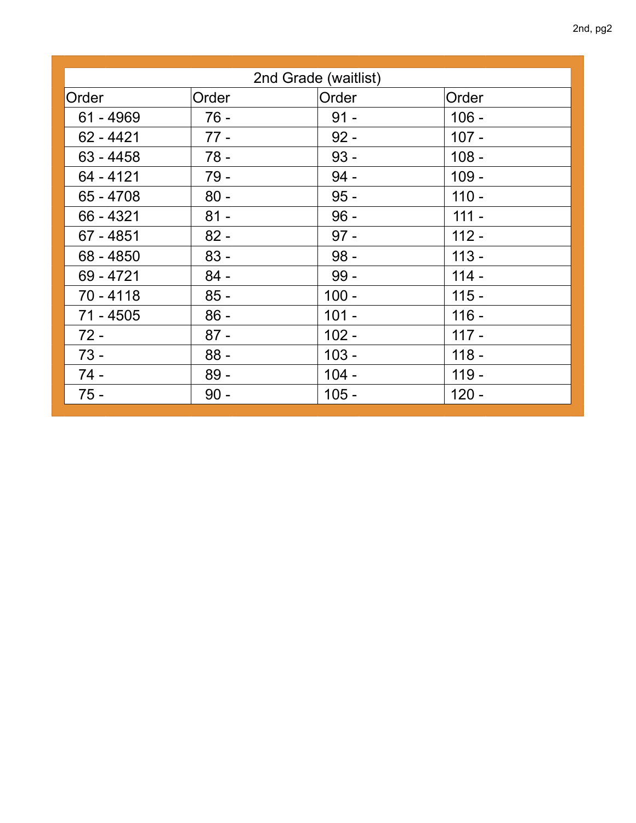| 2nd Grade (waitlist) |        |         |         |  |
|----------------------|--------|---------|---------|--|
| Order                | Order  | Order   | Order   |  |
| $61 - 4969$          | $76 -$ | $91 -$  | $106 -$ |  |
| $62 - 4421$          | $77 -$ | $92 -$  | $107 -$ |  |
| $63 - 4458$          | $78 -$ | $93 -$  | $108 -$ |  |
| 64 - 4121            | $79 -$ | $94 -$  | $109 -$ |  |
| $65 - 4708$          | $80 -$ | $95 -$  | $110 -$ |  |
| $66 - 4321$          | $81 -$ | $96 -$  | $111 -$ |  |
| $67 - 4851$          | $82 -$ | $97 -$  | $112 -$ |  |
| 68 - 4850            | $83 -$ | $98 -$  | $113 -$ |  |
| 69 - 4721            | $84 -$ | $99 -$  | $114 -$ |  |
| $70 - 4118$          | $85 -$ | $100 -$ | $115 -$ |  |
| $71 - 4505$          | $86 -$ | $101 -$ | $116 -$ |  |
| $72 -$               | $87 -$ | $102 -$ | $117 -$ |  |
| $73 -$               | $88 -$ | $103 -$ | $118 -$ |  |
| $74 -$               | $89 -$ | $104 -$ | $119 -$ |  |
| $75 -$               | $90 -$ | $105 -$ | $120 -$ |  |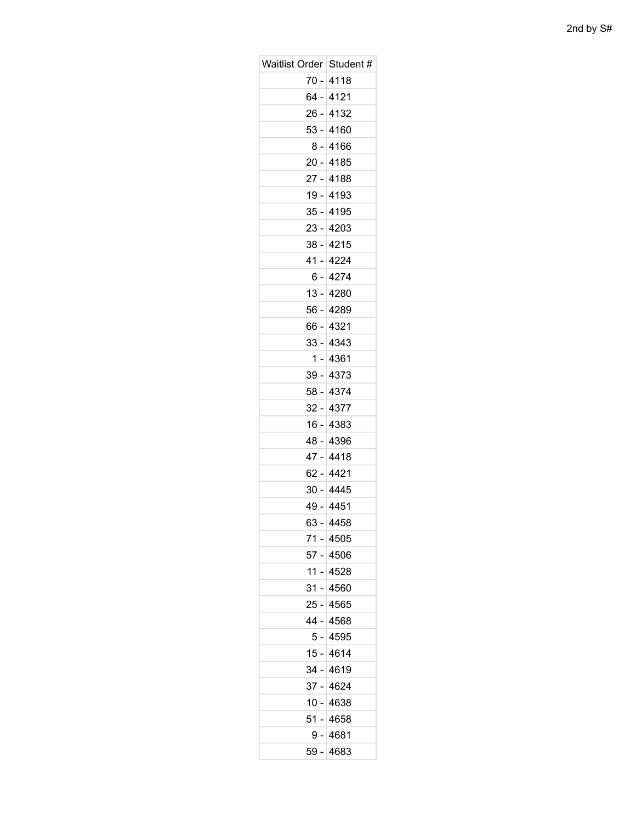| Waitlist Order   Student # |             |
|----------------------------|-------------|
|                            | 70 - 4118   |
|                            | 64 - 4121   |
| 26 -                       | 4132        |
|                            | 53 - 4160   |
|                            | $8 - 4166$  |
| 20 -                       | 4185        |
|                            | 27 - 4188   |
| 19 -                       | 4193        |
|                            | 35 - 4195   |
|                            | 23 - 4203   |
| $38 -$                     | 4215        |
|                            | 41 - 4224   |
|                            | 6 - 4274    |
| $13 -$                     | 4280        |
|                            | 56 - 4289   |
| 66 -                       | 4321        |
|                            | 33 - 4343   |
|                            | 1 - 4361    |
| 39 -                       | 4373        |
|                            | 58 - 4374   |
|                            | 32 - 4377   |
| 16 -                       | 4383        |
|                            | 48 - 4396   |
| $47 -$                     | 4418        |
|                            | 62 - 4421   |
|                            | 30 - 4445   |
| 49 -                       | 4451        |
|                            | $63 - 4458$ |
|                            | 71 - 4505   |
| 57 -                       | 4506        |
|                            | $11 - 4528$ |
| ا - 31                     | 4560        |
|                            | 25 - 4565   |
|                            | 44 - 4568   |
| 5 -                        | 4595        |
|                            | 15 - 4614   |
|                            | 34 - 4619   |
| $37 -$                     | 4624        |
|                            | $10 - 4638$ |
| 51 -                       | 4658        |
|                            | $9 - 4681$  |
|                            | 59 - 4683   |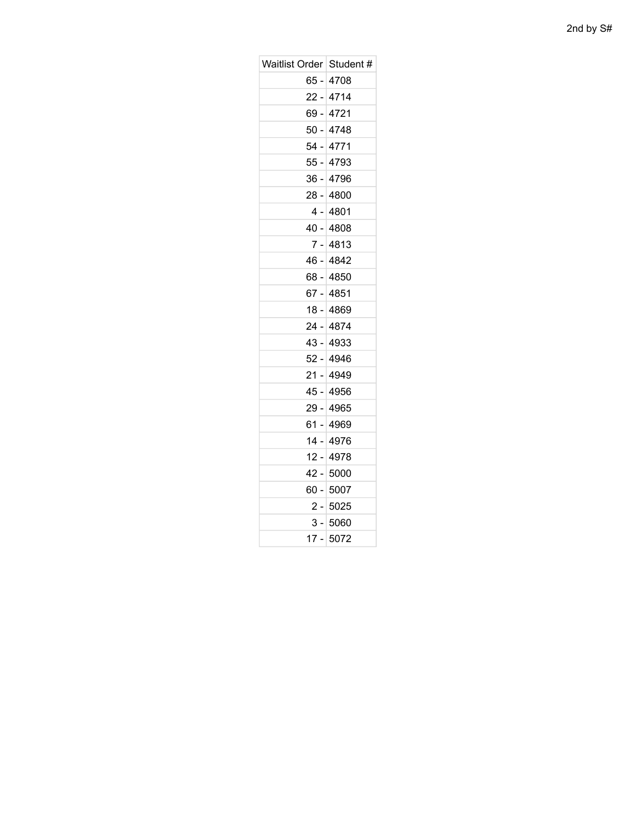| Waitlist Order Student # |             |
|--------------------------|-------------|
|                          | 65 - 4708   |
|                          | $22 - 4714$ |
| 69 -                     | 4721        |
|                          | 50 - 4748   |
| 54 -                     | 4771        |
|                          | 55 - 4793   |
| 36 -                     | 4796        |
|                          | 28 - 4800   |
|                          | 4 -⊺4801    |
|                          | 40 - 4808   |
| 7 -                      | 4813        |
|                          | 46 - 4842   |
|                          | 68 - 4850   |
|                          | 67 - 4851   |
|                          | 18 - 4869   |
|                          | 24 - 4874   |
|                          | 43 - 4933   |
|                          | 52 - 4946   |
|                          | 21 - 4949   |
|                          | 45 - 4956   |
|                          | 29 - 4965   |
|                          | 61 - 4969   |
|                          | 14 - 4976   |
|                          | 12 - 4978   |
|                          | 42 - 5000   |
|                          | 60 - 5007   |
|                          | 2 - 5025    |
|                          | 3 - 5060    |
|                          | 17 - 5072   |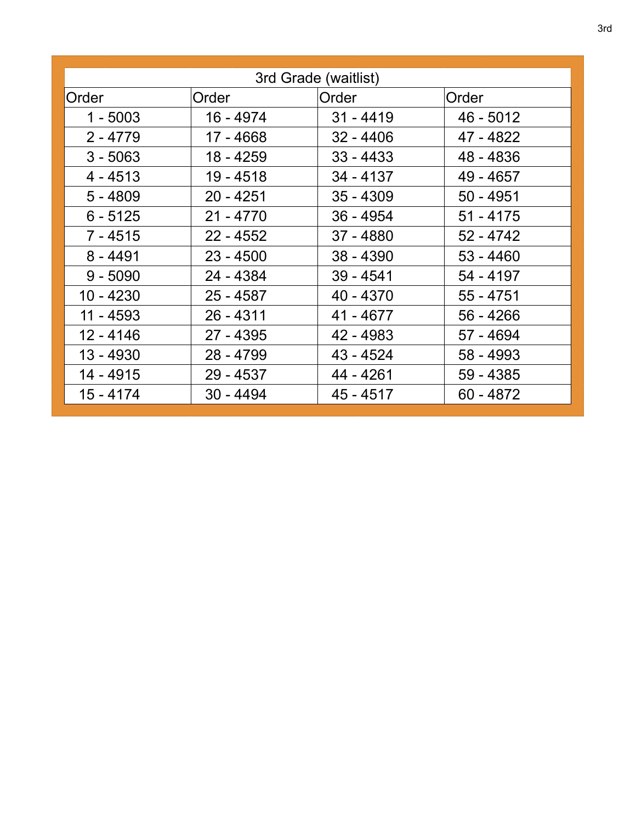| 3rd Grade (waitlist) |             |             |             |
|----------------------|-------------|-------------|-------------|
| Order                | Order       | Order       | Order       |
| $1 - 5003$           | 16 - 4974   | $31 - 4419$ | 46 - 5012   |
| $2 - 4779$           | 17 - 4668   | $32 - 4406$ | 47 - 4822   |
| $3 - 5063$           | 18 - 4259   | $33 - 4433$ | 48 - 4836   |
| $4 - 4513$           | 19 - 4518   | 34 - 4137   | 49 - 4657   |
| $5 - 4809$           | $20 - 4251$ | $35 - 4309$ | $50 - 4951$ |
| $6 - 5125$           | $21 - 4770$ | $36 - 4954$ | $51 - 4175$ |
| $7 - 4515$           | $22 - 4552$ | 37 - 4880   | $52 - 4742$ |
| $8 - 4491$           | $23 - 4500$ | $38 - 4390$ | $53 - 4460$ |
| $9 - 5090$           | 24 - 4384   | $39 - 4541$ | 54 - 4197   |
| 10 - 4230            | $25 - 4587$ | 40 - 4370   | $55 - 4751$ |
| $11 - 4593$          | $26 - 4311$ | 41 - 4677   | $56 - 4266$ |
| $12 - 4146$          | 27 - 4395   | 42 - 4983   | 57 - 4694   |
| 13 - 4930            | 28 - 4799   | 43 - 4524   | 58 - 4993   |
| 14 - 4915            | 29 - 4537   | 44 - 4261   | 59 - 4385   |
| $15 - 4174$          | $30 - 4494$ | $45 - 4517$ | $60 - 4872$ |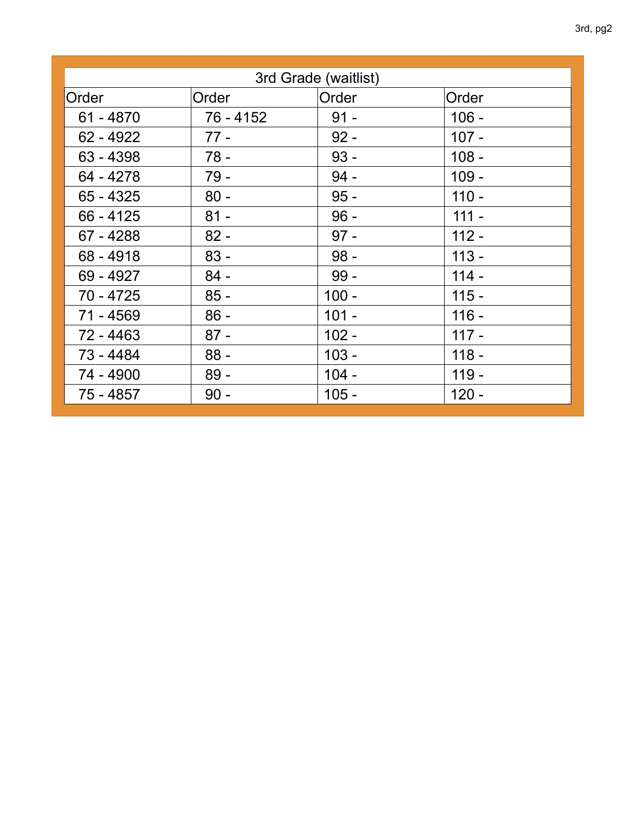| 3rd Grade (waitlist) |           |         |         |  |
|----------------------|-----------|---------|---------|--|
| Order                | Order     | Order   | Order   |  |
| $61 - 4870$          | 76 - 4152 | $91 -$  | $106 -$ |  |
| $62 - 4922$          | $77 -$    | $92 -$  | $107 -$ |  |
| $63 - 4398$          | $78 -$    | $93 -$  | $108 -$ |  |
| 64 - 4278            | $79 -$    | $94 -$  | $109 -$ |  |
| $65 - 4325$          | $80 -$    | $95 -$  | $110 -$ |  |
| $66 - 4125$          | $81 -$    | $96 -$  | $111 -$ |  |
| 67 - 4288            | $82 -$    | $97 -$  | $112 -$ |  |
| $68 - 4918$          | $83 -$    | $98 -$  | $113 -$ |  |
| 69 - 4927            | $84 -$    | $99 -$  | $114 -$ |  |
| 70 - 4725            | $85 -$    | $100 -$ | $115 -$ |  |
| 71 - 4569            | $86 -$    | $101 -$ | $116 -$ |  |
| 72 - 4463            | $87 -$    | $102 -$ | $117 -$ |  |
| 73 - 4484            | $88 -$    | $103 -$ | $118 -$ |  |
| 74 - 4900            | $89 -$    | $104 -$ | $119 -$ |  |
| 75 - 4857            | $90 -$    | $105 -$ | $120 -$ |  |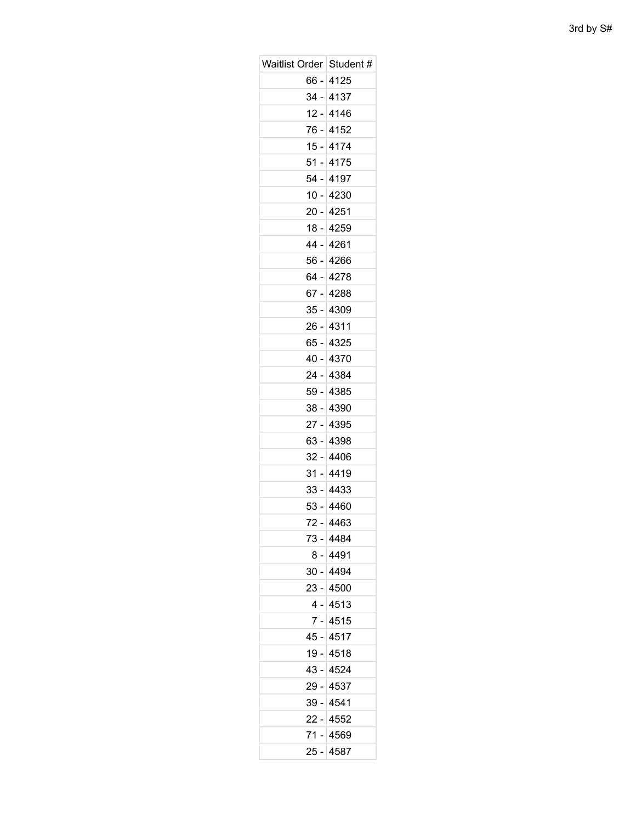| Waitlist Order   Student # |             |
|----------------------------|-------------|
|                            | 66 - 4125   |
|                            | 34 - 4137   |
| $12 -$                     | 4146        |
|                            | 76 - 4152   |
|                            | 15 - 4174   |
| $51 -$                     | 4175        |
|                            | 54 - 4197   |
| $10 -$                     | 4230        |
|                            | 20 - 4251   |
|                            | 18 - 4259   |
| 44 -                       | 4261        |
|                            | 56 - 4266   |
|                            | 64 - 4278   |
| 67 -                       | 4288        |
|                            | 35 - 4309   |
| 26 -                       | 4311        |
|                            | 65 - 4325   |
|                            | 40 - 4370   |
| 24 -                       | 4384        |
|                            | 59 - 4385   |
|                            | 38 - 4390   |
| $27 -$                     | 4395        |
|                            | 63 - 4398   |
| 32 -                       | 4406        |
|                            | $31 - 4419$ |
|                            | 33 - 4433   |
| $53 -$                     | 4460        |
|                            | 72 - 4463   |
|                            | 73 - 4484   |
| 8 -                        | 4491        |
|                            | 30 - 4494   |
|                            | 23 - 4500   |
|                            | 4 - 4513    |
|                            | 7 - 4515    |
| 45 -                       | 4517        |
|                            | 19 - 4518   |
|                            | 43 - 4524   |
| 29 -                       | 4537        |
|                            | 39 - 4541   |
|                            | 22 - 4552   |
|                            | 71 - 4569   |
| 25 -                       | 4587        |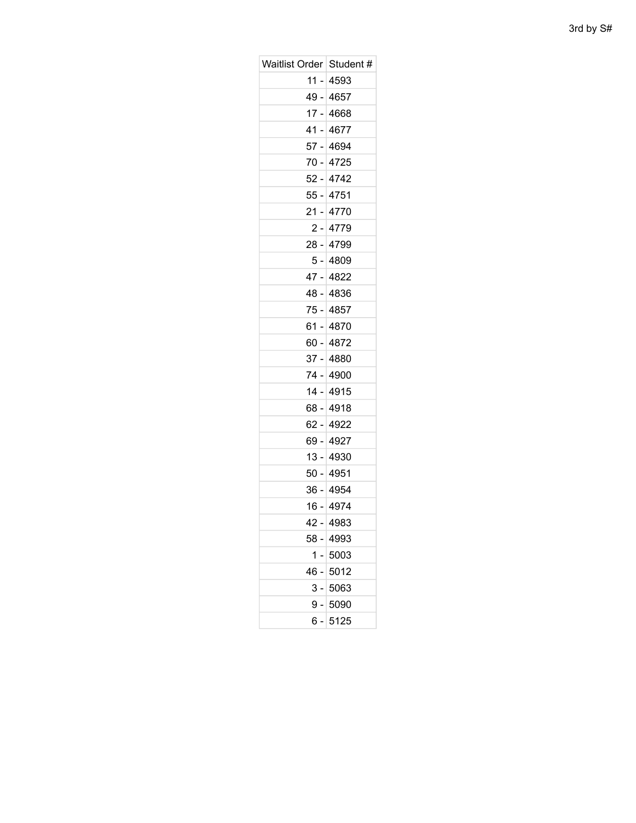| Waitlist Order   Student # |            |
|----------------------------|------------|
| 11 -                       | 4593       |
|                            | 49 - 4657  |
|                            | 17 - 4668  |
| 41 -                       | 4677       |
|                            | 57 - 4694  |
|                            | 70 - 4725  |
| 52 -                       | 4742       |
|                            | 55 - 4751  |
| 21 -                       | 4770       |
|                            | $2 - 4779$ |
|                            | 28 - 4799  |
| 5 -                        | 4809       |
|                            | 47 - 4822  |
|                            | 48 - 4836  |
|                            | 75 - 4857  |
|                            | 61 - 4870  |
|                            | 60 - 4872  |
|                            | 37 - 4880  |
|                            | 74 - 4900  |
| 14 -                       | 4915       |
|                            | 68 - 4918  |
|                            | 62 - 4922  |
| 69 -                       | 4927       |
|                            | 13 - 4930  |
| 50 -                       | 4951       |
|                            | 36 - 4954  |
|                            | 16 - 4974  |
| $42 -$                     | 4983       |
|                            | 58 - 4993  |
| 1.                         | 5003       |
| - 46                       | 5012       |
| 3 - 1                      | 5063       |
| 9 -                        | 5090       |
| 6 -                        | 5125       |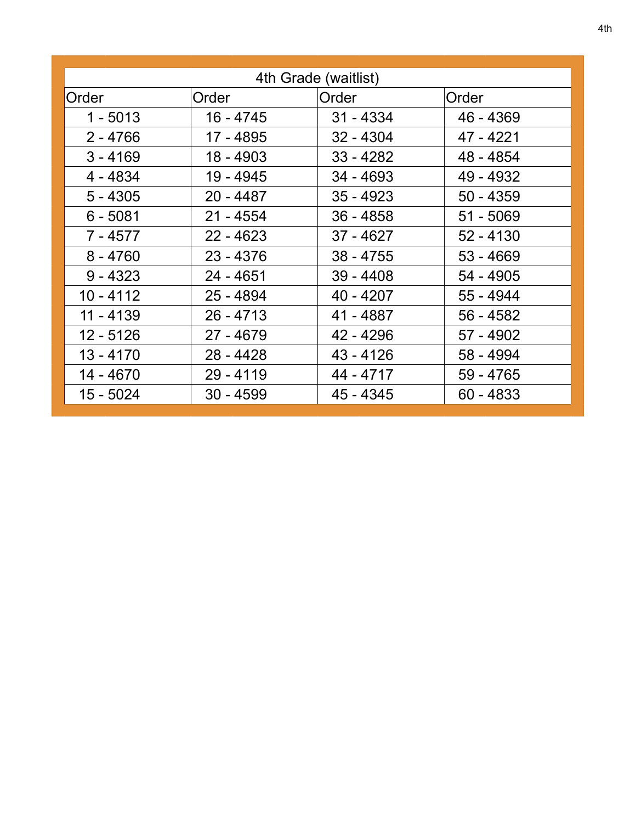| 4th Grade (waitlist) |             |             |             |
|----------------------|-------------|-------------|-------------|
| Order                | Order       | Order       | Order       |
| $1 - 5013$           | 16 - 4745   | $31 - 4334$ | 46 - 4369   |
| $2 - 4766$           | 17 - 4895   | $32 - 4304$ | 47 - 4221   |
| $3 - 4169$           | 18 - 4903   | $33 - 4282$ | 48 - 4854   |
| 4 - 4834             | 19 - 4945   | $34 - 4693$ | 49 - 4932   |
| $5 - 4305$           | $20 - 4487$ | $35 - 4923$ | $50 - 4359$ |
| $6 - 5081$           | $21 - 4554$ | $36 - 4858$ | $51 - 5069$ |
| 7 - 4577             | $22 - 4623$ | $37 - 4627$ | $52 - 4130$ |
| $8 - 4760$           | $23 - 4376$ | $38 - 4755$ | $53 - 4669$ |
| $9 - 4323$           | $24 - 4651$ | $39 - 4408$ | 54 - 4905   |
| $10 - 4112$          | $25 - 4894$ | $40 - 4207$ | 55 - 4944   |
| 11 - 4139            | $26 - 4713$ | 41 - 4887   | 56 - 4582   |
| 12 - 5126            | $27 - 4679$ | 42 - 4296   | 57 - 4902   |
| 13 - 4170            | $28 - 4428$ | $43 - 4126$ | 58 - 4994   |
| 14 - 4670            | $29 - 4119$ | 44 - 4717   | 59 - 4765   |
| 15 - 5024            | $30 - 4599$ | 45 - 4345   | $60 - 4833$ |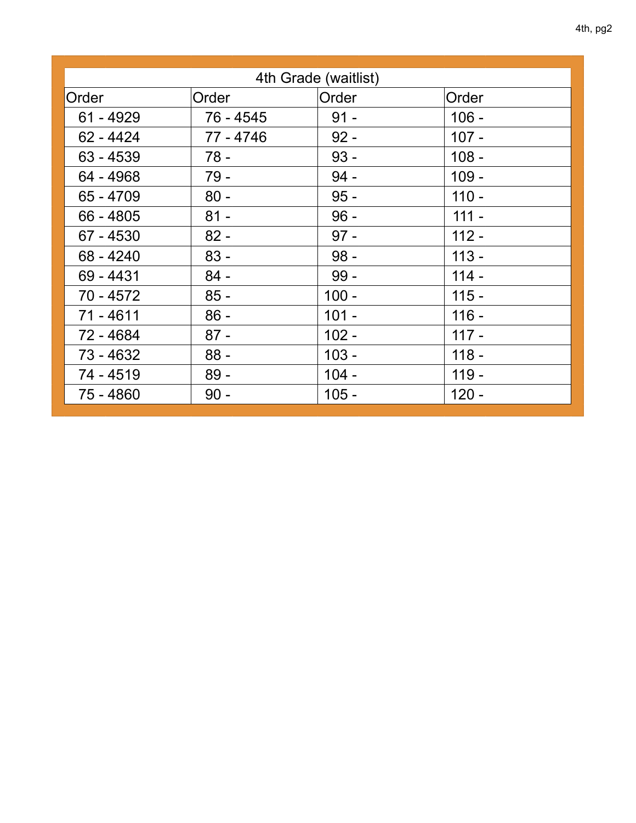| 4th Grade (waitlist) |              |         |         |
|----------------------|--------------|---------|---------|
| Order                | <b>Order</b> | Order   | Order   |
| $61 - 4929$          | 76 - 4545    | $91 -$  | $106 -$ |
| $62 - 4424$          | 77 - 4746    | $92 -$  | $107 -$ |
| $63 - 4539$          | $78 -$       | $93 -$  | $108 -$ |
| 64 - 4968            | $79 -$       | $94 -$  | $109 -$ |
| 65 - 4709            | $80 -$       | $95 -$  | $110 -$ |
| $66 - 4805$          | $81 -$       | $96 -$  | $111 -$ |
| 67 - 4530            | $82 -$       | $97 -$  | $112 -$ |
| $68 - 4240$          | $83 -$       | $98 -$  | $113 -$ |
| 69 - 4431            | $84 -$       | $99 -$  | $114 -$ |
| 70 - 4572            | $85 -$       | $100 -$ | $115 -$ |
| $71 - 4611$          | $86 -$       | $101 -$ | $116 -$ |
| 72 - 4684            | $87 -$       | $102 -$ | $117 -$ |
| 73 - 4632            | $88 -$       | $103 -$ | $118 -$ |
| 74 - 4519            | $89 -$       | $104 -$ | $119 -$ |
| 75 - 4860            | $90 -$       | $105 -$ | $120 -$ |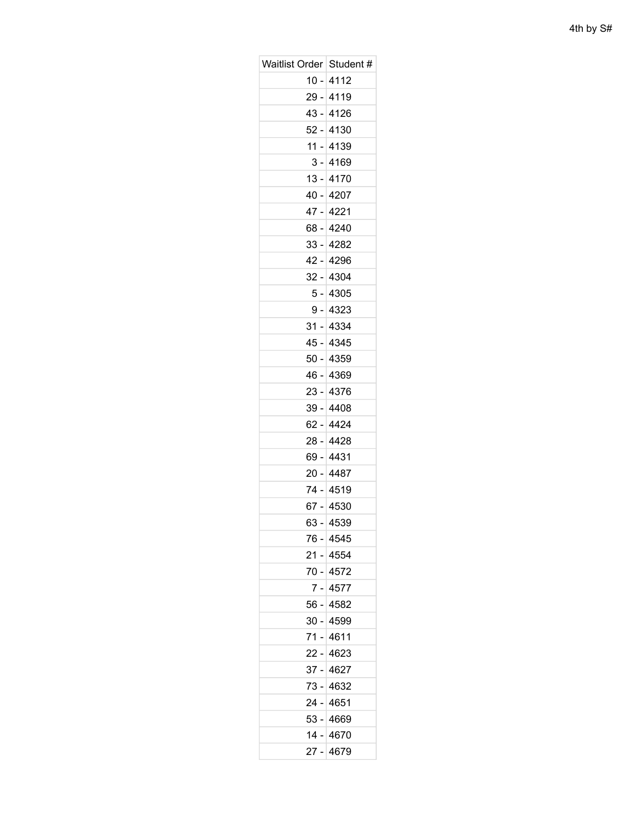| Waitlist Order   Student # |             |
|----------------------------|-------------|
|                            | $10 - 4112$ |
|                            | 29 - 4119   |
| 43 -                       | 4126        |
|                            | 52 - 4130   |
| 11 -                       | 4139        |
|                            | $3 - 4169$  |
|                            | $13 - 4170$ |
| 40 -                       | 4207        |
|                            | 47 - 4221   |
|                            | 68 - 4240   |
| $33 -$                     | 4282        |
|                            | 42 - 4296   |
| 32 -                       | 4304        |
|                            | $5 - 4305$  |
|                            | 9 - 4323    |
| 31 -                       | 4334        |
|                            | 45 - 4345   |
|                            | 50 - 4359   |
| - 46                       | 4369        |
|                            | $23 - 4376$ |
| $39 -$                     | 4408        |
|                            | 62 - 4424   |
|                            | 28 - 4428   |
| 69 -                       | 4431        |
|                            | 20 - 4487   |
|                            | 74 - 4519   |
|                            | 67 - 4530   |
|                            | 63 - 4539   |
|                            | 76 - 4545   |
|                            | 21 - 4554   |
|                            | 70 - 4572   |
| 7 -                        | 4577        |
|                            | 56 - 4582   |
|                            | 30 - 4599   |
| 71 -                       | 4611        |
|                            | 22 - 4623   |
| 37 -                       | 4627        |
|                            | 73 - 4632   |
|                            | 24 - 4651   |
| 53 -                       | 4669        |
|                            | 14 - 4670   |
|                            | 27 - 4679   |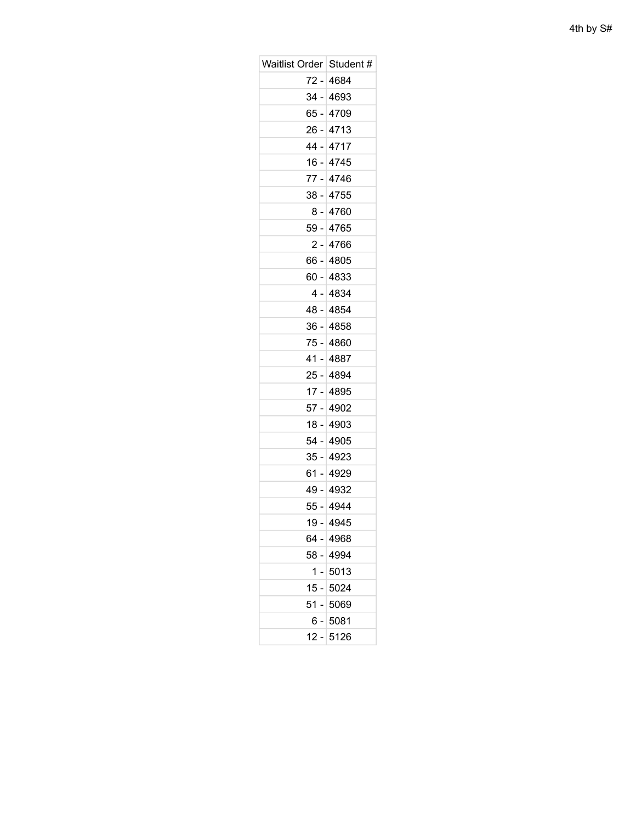| Waitlist Order   Student # |            |
|----------------------------|------------|
|                            | 72 - 4684  |
|                            | 34 - 4693  |
|                            | 65 - 4709  |
|                            | 26 - 4713  |
|                            | 44 - 4717  |
|                            | 16 - 4745  |
|                            | 77 - 4746  |
|                            | 38 - 4755  |
|                            | 8 - 4760   |
|                            | 59 - 4765  |
|                            | 2 - 4766   |
| 66 -                       | 4805       |
|                            | 60 - 4833  |
|                            | 4 - 4834   |
|                            | 48 - 4854  |
|                            | 36 - 4858  |
|                            | 75 - 4860  |
|                            | 41 - 4887  |
|                            | 25 - 4894  |
|                            | 17 - 4895  |
|                            | 57 - 4902  |
|                            | 18 - 4903  |
|                            | 54 - 4905  |
|                            | 35 - 4923  |
| 61 -                       | 4929       |
|                            | 49 - 4932  |
|                            | 55 - 4944  |
| $19 -$                     | - 4945     |
|                            | 64 - 4968  |
|                            | 58 - 4994  |
| 1                          | $-15013$   |
|                            | 15 - 5024  |
| 51 -                       | 5069       |
|                            | $6 - 5081$ |
| $12 -$                     | 5126       |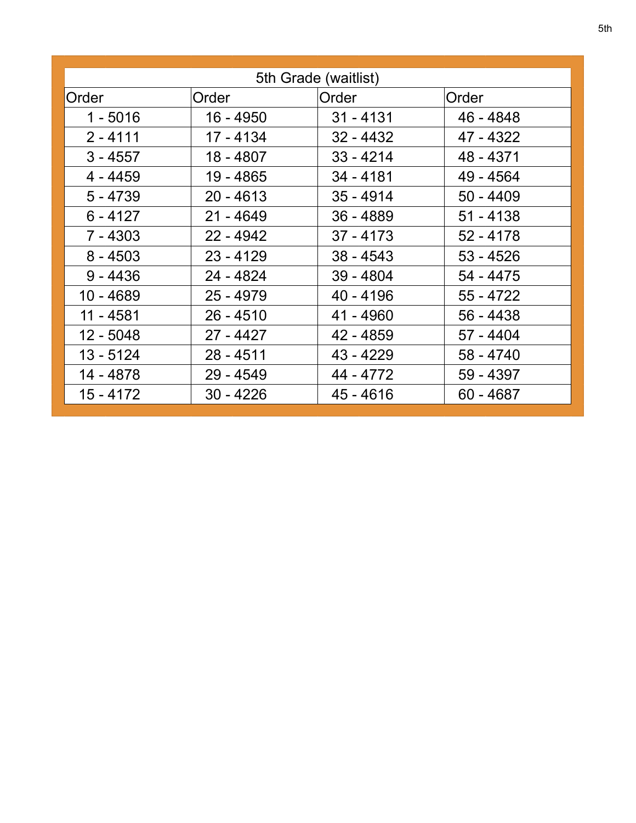| 5th Grade (waitlist) |             |             |             |
|----------------------|-------------|-------------|-------------|
| Order                | Order       | Order       | Order       |
| $1 - 5016$           | 16 - 4950   | $31 - 4131$ | 46 - 4848   |
| $2 - 4111$           | 17 - 4134   | $32 - 4432$ | 47 - 4322   |
| $3 - 4557$           | 18 - 4807   | $33 - 4214$ | 48 - 4371   |
| 4 - 4459             | 19 - 4865   | 34 - 4181   | 49 - 4564   |
| $5 - 4739$           | $20 - 4613$ | $35 - 4914$ | $50 - 4409$ |
| $6 - 4127$           | $21 - 4649$ | $36 - 4889$ | $51 - 4138$ |
| $7 - 4303$           | $22 - 4942$ | $37 - 4173$ | $52 - 4178$ |
| $8 - 4503$           | $23 - 4129$ | $38 - 4543$ | $53 - 4526$ |
| $9 - 4436$           | 24 - 4824   | $39 - 4804$ | 54 - 4475   |
| 10 - 4689            | $25 - 4979$ | $40 - 4196$ | $55 - 4722$ |
| 11 - 4581            | $26 - 4510$ | 41 - 4960   | 56 - 4438   |
| 12 - 5048            | $27 - 4427$ | 42 - 4859   | 57 - 4404   |
| 13 - 5124            | 28 - 4511   | 43 - 4229   | 58 - 4740   |
| 14 - 4878            | $29 - 4549$ | 44 - 4772   | 59 - 4397   |
| $15 - 4172$          | $30 - 4226$ | $45 - 4616$ | $60 - 4687$ |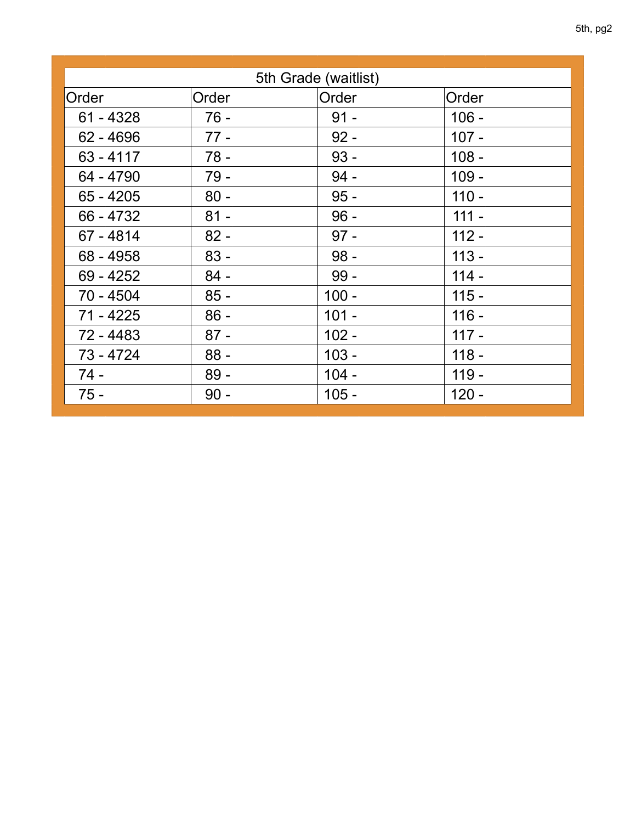| 5th Grade (waitlist) |        |         |         |  |
|----------------------|--------|---------|---------|--|
| Order                | Order  | Order   | Order   |  |
| $61 - 4328$          | $76 -$ | $91 -$  | $106 -$ |  |
| $62 - 4696$          | $77 -$ | $92 -$  | $107 -$ |  |
| $63 - 4117$          | $78 -$ | $93 -$  | $108 -$ |  |
| 64 - 4790            | 79 -   | $94 -$  | $109 -$ |  |
| $65 - 4205$          | $80 -$ | $95 -$  | $110 -$ |  |
| 66 - 4732            | $81 -$ | $96 -$  | $111 -$ |  |
| 67 - 4814            | $82 -$ | $97 -$  | $112 -$ |  |
| 68 - 4958            | $83 -$ | $98 -$  | $113 -$ |  |
| 69 - 4252            | $84 -$ | $99 -$  | $114 -$ |  |
| 70 - 4504            | $85 -$ | $100 -$ | $115 -$ |  |
| 71 - 4225            | $86 -$ | $101 -$ | $116 -$ |  |
| 72 - 4483            | $87 -$ | $102 -$ | $117 -$ |  |
| 73 - 4724            | $88 -$ | $103 -$ | $118 -$ |  |
| $74 -$               | $89 -$ | $104 -$ | $119 -$ |  |
| $75 -$               | $90 -$ | $105 -$ | $120 -$ |  |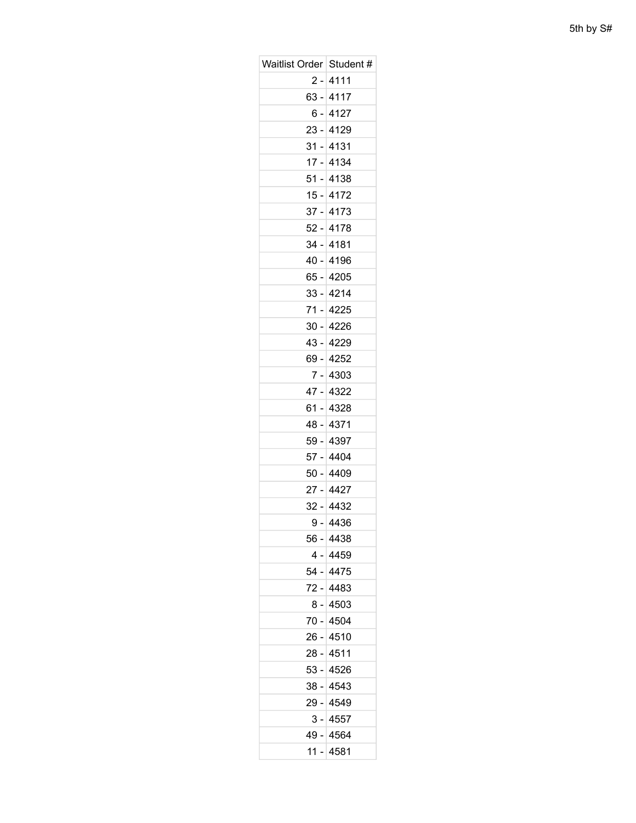| Waitlist Order   Student # |             |
|----------------------------|-------------|
|                            | 2 - 4111    |
|                            | 63 - 4117   |
| 6 -                        | 4127        |
|                            | $23 - 4129$ |
| 31 -                       | 4131        |
|                            | $17 - 4134$ |
|                            | $51 - 4138$ |
| 15 -                       | 4172        |
|                            | $37 - 4173$ |
|                            | 52 - 4178   |
| 34 -                       | 4181        |
|                            | 40 - 4196   |
|                            | 65 - 4205   |
|                            | $33 - 4214$ |
|                            | 71 - 4225   |
| 30 -                       | 4226        |
|                            | 43 - 4229   |
|                            | 69 - 4252   |
| $7 -$                      | 4303        |
|                            | 47 - 4322   |
| 61 -                       | 4328        |
|                            | 48 - 4371   |
|                            | 59 - 4397   |
| $57 -$                     | 4404        |
|                            | 50 - 4409   |
|                            | 27 - 4427   |
| 32 -                       | 4432        |
|                            | 9 - 4436    |
|                            | 56 - 4438   |
|                            | 4 - 4459    |
|                            | 54 - 4475   |
| $72 -$                     | 4483        |
|                            | $8 - 4503$  |
|                            | 70 - 4504   |
| 26 -                       | 4510        |
|                            | 28 - 4511   |
|                            | 53 - 4526   |
|                            | 38 - 4543   |
|                            | 29 - 4549   |
| 3 -                        | 4557        |
|                            | 49 - 4564   |
|                            | 11 - 4581   |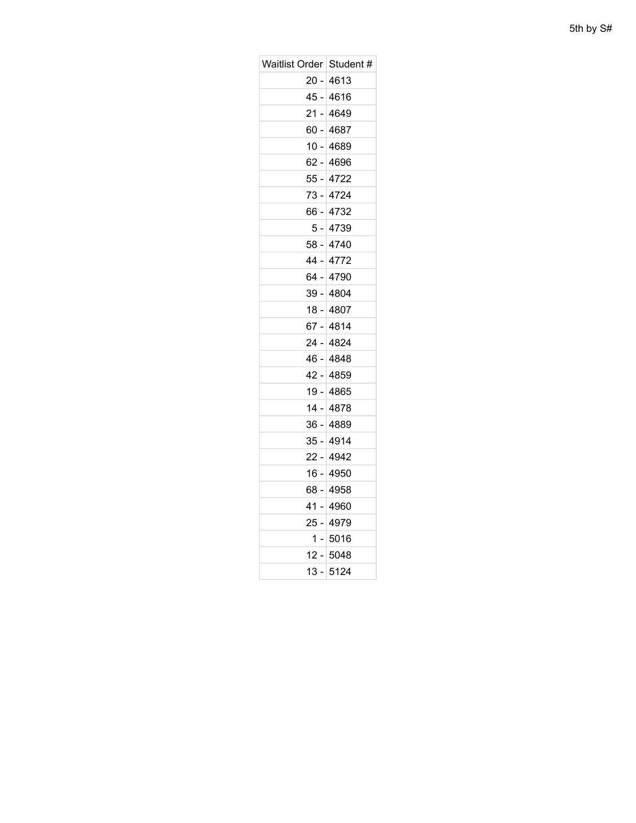| Waitlist Order Student # |             |
|--------------------------|-------------|
|                          | 20 - 4613   |
|                          |             |
| 45 -                     | 4616        |
|                          | 21 - 4649   |
|                          | 60 - 4687   |
| 10 -                     | 4689        |
|                          | 62 - 4696   |
|                          | 55 - 4722   |
| 73 -                     | 4724        |
|                          | 66 - 4732   |
|                          | 5 - 4739    |
| 58 -                     | 4740        |
|                          | 44 - 4772   |
|                          | 64 - 4790   |
|                          | 39 - 4804   |
|                          | 18 - 4807   |
| 67 -                     | 4814        |
|                          | 24 - 4824   |
|                          | 46 - 4848   |
| 42 -                     | 4859        |
|                          | 19 - 4865   |
|                          | 14 - 4878   |
| 36 -                     | 4889        |
|                          | 35 - 4914   |
|                          | 22 - 4942   |
| 16 -                     | 4950        |
|                          | 68 - 4958   |
| 41 -                     | 4960        |
| 25 -                     | 4979        |
|                          | $1 - 5016$  |
|                          | $12 - 5048$ |
| 13 -                     | 5124        |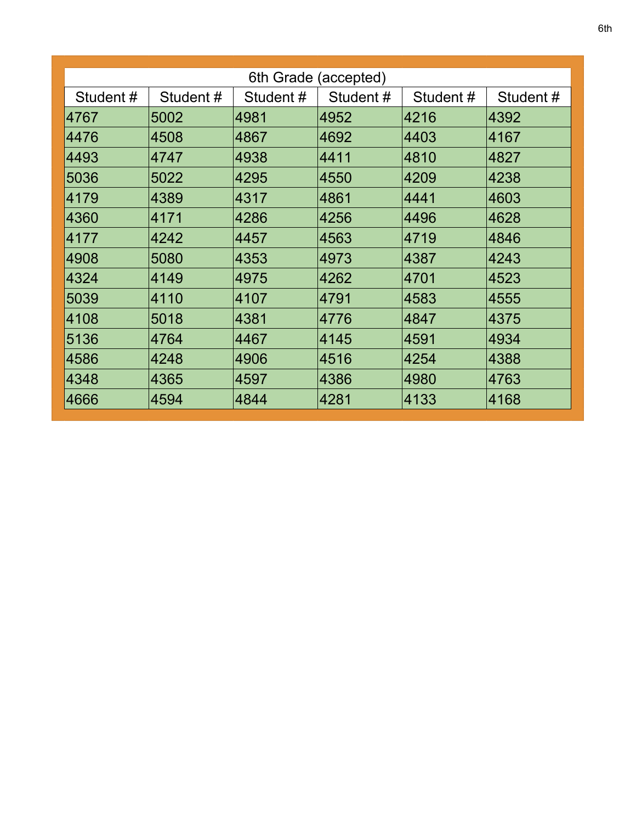| 6th Grade (accepted) |          |          |          |          |          |
|----------------------|----------|----------|----------|----------|----------|
| Student#             | Student# | Student# | Student# | Student# | Student# |
| 4767                 | 5002     | 4981     | 4952     | 4216     | 4392     |
| 4476                 | 4508     | 4867     | 4692     | 4403     | 4167     |
| 4493                 | 4747     | 4938     | 4411     | 4810     | 4827     |
| 5036                 | 5022     | 4295     | 4550     | 4209     | 4238     |
| 4179                 | 4389     | 4317     | 4861     | 4441     | 4603     |
| 4360                 | 4171     | 4286     | 4256     | 4496     | 4628     |
| 4177                 | 4242     | 4457     | 4563     | 4719     | 4846     |
| 4908                 | 5080     | 4353     | 4973     | 4387     | 4243     |
| 4324                 | 4149     | 4975     | 4262     | 4701     | 4523     |
| 5039                 | 4110     | 4107     | 4791     | 4583     | 4555     |
| 4108                 | 5018     | 4381     | 4776     | 4847     | 4375     |
| 5136                 | 4764     | 4467     | 4145     | 4591     | 4934     |
| 4586                 | 4248     | 4906     | 4516     | 4254     | 4388     |
| 4348                 | 4365     | 4597     | 4386     | 4980     | 4763     |
| 4666                 | 4594     | 4844     | 4281     | 4133     | 4168     |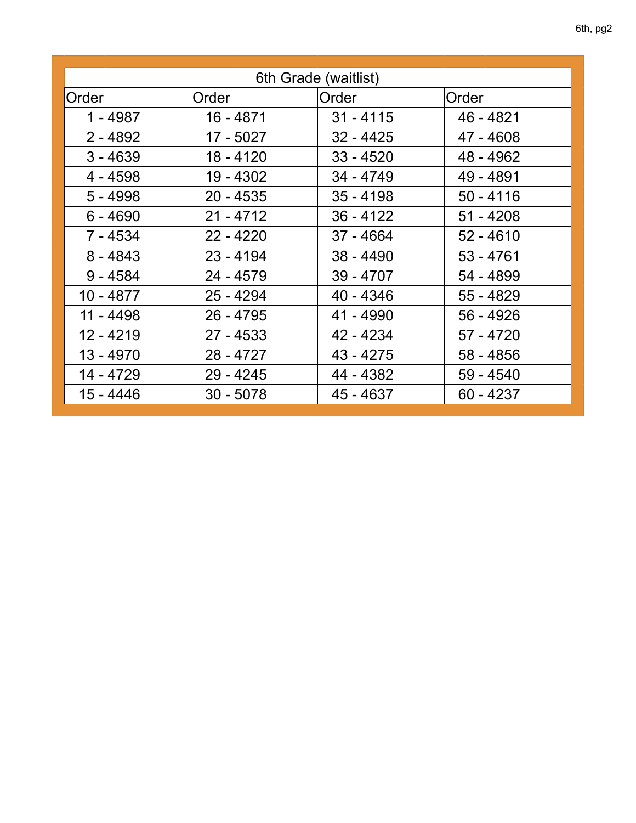| 6th Grade (waitlist) |             |             |             |
|----------------------|-------------|-------------|-------------|
|                      |             |             |             |
| Order                | Order       | Order       | Order       |
| $1 - 4987$           | $16 - 4871$ | $31 - 4115$ | 46 - 4821   |
| $2 - 4892$           | 17 - 5027   | $32 - 4425$ | 47 - 4608   |
| $3 - 4639$           | 18 - 4120   | $33 - 4520$ | 48 - 4962   |
| 4 - 4598             | 19 - 4302   | 34 - 4749   | 49 - 4891   |
| $5 - 4998$           | $20 - 4535$ | $35 - 4198$ | $50 - 4116$ |
| $6 - 4690$           | $21 - 4712$ | $36 - 4122$ | $51 - 4208$ |
| 7 - 4534             | $22 - 4220$ | $37 - 4664$ | $52 - 4610$ |
| $8 - 4843$           | $23 - 4194$ | $38 - 4490$ | $53 - 4761$ |
| $9 - 4584$           | 24 - 4579   | 39 - 4707   | 54 - 4899   |
| 10 - 4877            | $25 - 4294$ | 40 - 4346   | 55 - 4829   |
| 11 - 4498            | $26 - 4795$ | 41 - 4990   | 56 - 4926   |
| 12 - 4219            | $27 - 4533$ | 42 - 4234   | 57 - 4720   |
| 13 - 4970            | 28 - 4727   | 43 - 4275   | 58 - 4856   |
| 14 - 4729            | $29 - 4245$ | 44 - 4382   | 59 - 4540   |
| 15 - 4446            | $30 - 5078$ | 45 - 4637   | $60 - 4237$ |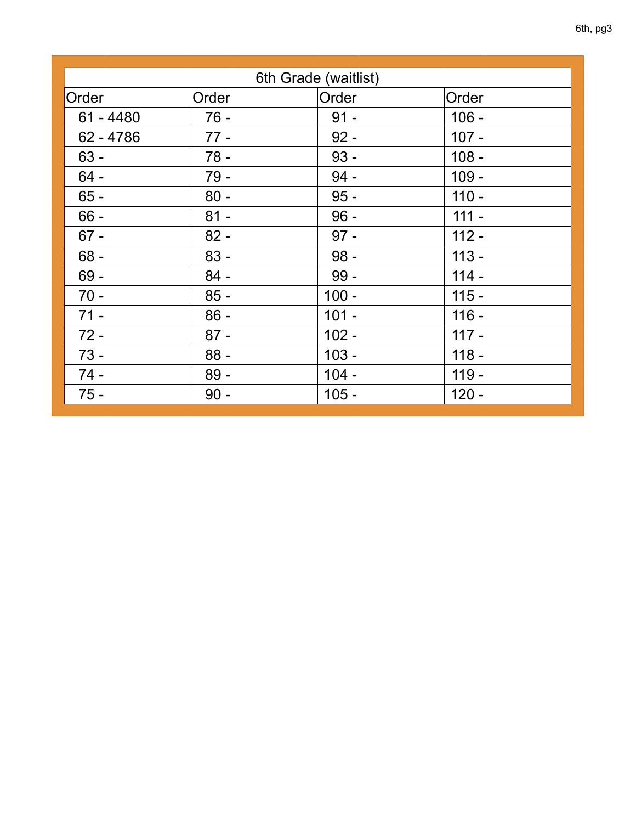| 6th Grade (waitlist) |        |         |         |
|----------------------|--------|---------|---------|
| Order                | Order  | Order   | Order   |
| $61 - 4480$          | $76 -$ | $91 -$  | $106 -$ |
| 62 - 4786            | $77 -$ | $92 -$  | $107 -$ |
| $63 -$               | $78 -$ | $93 -$  | $108 -$ |
| $64 -$               | 79 -   | $94 -$  | $109 -$ |
| $65 -$               | $80 -$ | $95 -$  | $110 -$ |
| $66 -$               | $81 -$ | $96 -$  | $111 -$ |
| $67 -$               | $82 -$ | $97 -$  | $112 -$ |
| $68 -$               | $83 -$ | $98 -$  | $113 -$ |
| $69 -$               | $84 -$ | $99 -$  | $114 -$ |
| $70 -$               | $85 -$ | $100 -$ | $115 -$ |
| $71 -$               | $86 -$ | $101 -$ | $116 -$ |
| $72 -$               | $87 -$ | $102 -$ | $117 -$ |
| $73 -$               | $88 -$ | $103 -$ | $118 -$ |
| $74 -$               | $89 -$ | $104 -$ | $119 -$ |
| $75 -$               | $90 -$ | $105 -$ | $120 -$ |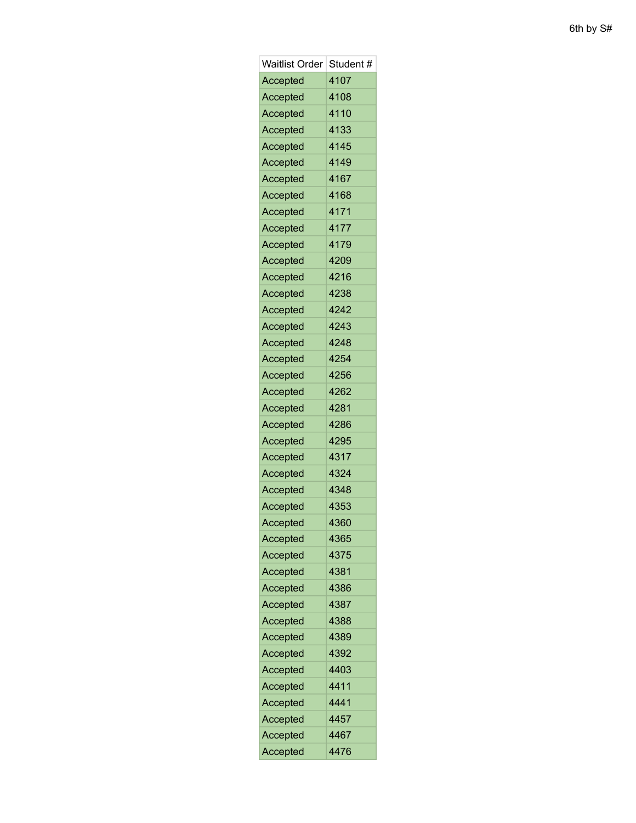| <b>Waitlist Order</b> | Student # |
|-----------------------|-----------|
| Accepted              | 4107      |
| Accepted              | 4108      |
| Accepted              | 4110      |
| Accepted              | 4133      |
| Accepted              | 4145      |
| Accepted              | 4149      |
| Accepted              | 4167      |
| Accepted              | 4168      |
| Accepted              | 4171      |
| Accepted              | 4177      |
| Accepted              | 4179      |
| Accepted              | 4209      |
| Accepted              | 4216      |
| Accepted              | 4238      |
| Accepted              | 4242      |
| Accepted              | 4243      |
| Accepted              | 4248      |
| Accepted              | 4254      |
| Accepted              | 4256      |
| Accepted              | 4262      |
| Accepted              | 4281      |
| Accepted              | 4286      |
| Accepted              | 4295      |
| Accepted              | 4317      |
| Accepted              | 4324      |
| Accepted              | 4348      |
| Accepted              | 4353      |
| Accepted              | 4360      |
| Accepted              | 4365      |
| Accepted              | 4375      |
| Accepted              | 4381      |
| Accepted              | 4386      |
| Accepted              | 4387      |
| Accepted              | 4388      |
| Accepted              | 4389      |
| Accepted              | 4392      |
| Accepted              | 4403      |
| Accepted              | 4411      |
| Accepted              | 4441      |
| Accepted              | 4457      |
| Accepted              | 4467      |
| Accepted              | 4476      |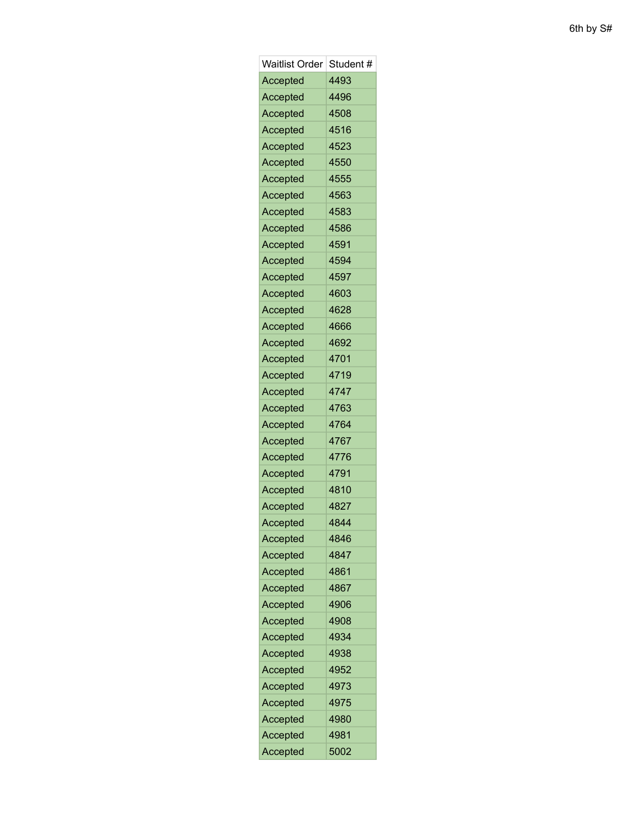| <b>Waitlist Order</b> | Student # |
|-----------------------|-----------|
| Accepted              | 4493      |
| Accepted              | 4496      |
| Accepted              | 4508      |
| Accepted              | 4516      |
| <b>Accepted</b>       | 4523      |
| Accepted              | 4550      |
| Accepted              | 4555      |
| Accepted              | 4563      |
| Accepted              | 4583      |
| Accepted              | 4586      |
| Accepted              | 4591      |
| Accepted              | 4594      |
| <b>Accepted</b>       | 4597      |
| Accepted              | 4603      |
| Accepted              | 4628      |
| Accepted              | 4666      |
| Accepted              | 4692      |
| <b>Accepted</b>       | 4701      |
| Accepted              | 4719      |
| Accepted              | 4747      |
| <b>Accepted</b>       | 4763      |
| Accepted              | 4764      |
| Accepted              | 4767      |
| Accepted              | 4776      |
| Accepted              | 4791      |
| Accepted              | 4810      |
| Accepted              | 4827      |
| Accepted              | 4844      |
| Accepted              | 4846      |
| Accepted              | 4847      |
| Accepted              | 4861      |
| Accepted              | 4867      |
| Accepted              | 4906      |
| Accepted              | 4908      |
| Accepted              | 4934      |
| Accepted              | 4938      |
| Accepted              | 4952      |
| Accepted              | 4973      |
| Accepted              | 4975      |
| Accepted              | 4980      |
| Accepted              | 4981      |
| Accepted              | 5002      |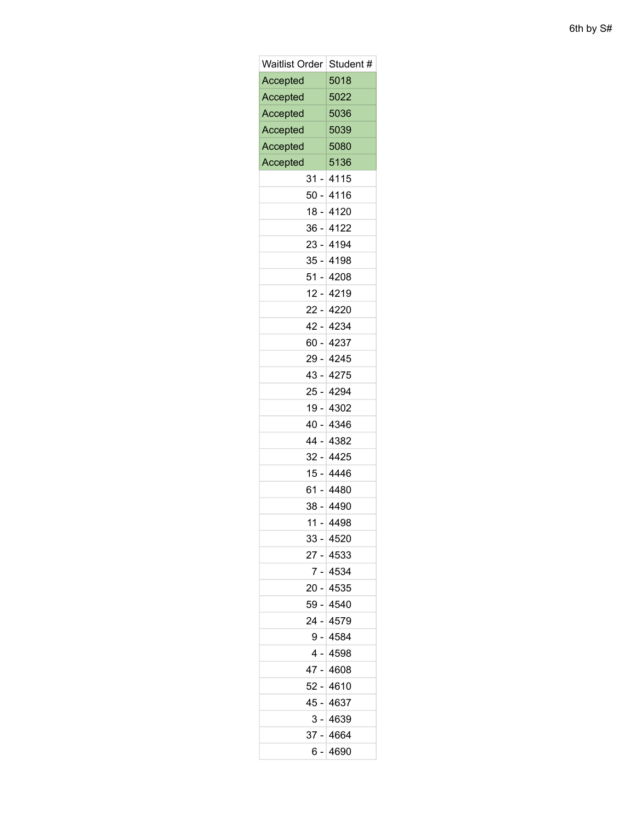| <b>Waitlist Order</b>          | Student#    |  |
|--------------------------------|-------------|--|
| Accepted                       | 5018        |  |
| Accepted                       | 5022        |  |
| Accepted                       | 5036        |  |
| Accepted                       | 5039        |  |
| Accepted                       | 5080        |  |
| Accepted                       | 5136        |  |
| 31                             | 4115        |  |
|                                | 50 - 4116   |  |
|                                | 18 - 4120   |  |
| - 36                           | 4122        |  |
|                                | 23 - 4194   |  |
| 35 -                           | 4198        |  |
| 51 -                           | 4208        |  |
|                                | $12 - 4219$ |  |
|                                | 22 - 4220   |  |
| 42 -                           | 4234        |  |
|                                | 60 - 4237   |  |
| 29 -                           | 4245        |  |
|                                | 43 - 4275   |  |
|                                | 25 - 4294   |  |
| 19 -                           | 4302        |  |
|                                | 40 - 4346   |  |
| 44 -                           | 4382        |  |
| $32 -$                         | 4425        |  |
|                                | 15 - 4446   |  |
| 61 -                           | 4480        |  |
|                                | 38 - 4490   |  |
| 11<br>$\overline{\phantom{a}}$ | 4498        |  |
|                                | 33 - 4520   |  |
|                                | 27 - 4533   |  |
| 7 -                            | 4534        |  |
|                                | 20 - 4535   |  |
|                                | 59 - 4540   |  |
| 24 -                           | 4579        |  |
|                                | 9 - 4584    |  |
|                                | 4 - 4598    |  |
| 47 -                           | 4608        |  |
|                                | 52 - 4610   |  |
| 45 -                           | 4637        |  |
| 3 -                            | 4639        |  |
|                                | 37 - 4664   |  |
| 6 -                            | 4690        |  |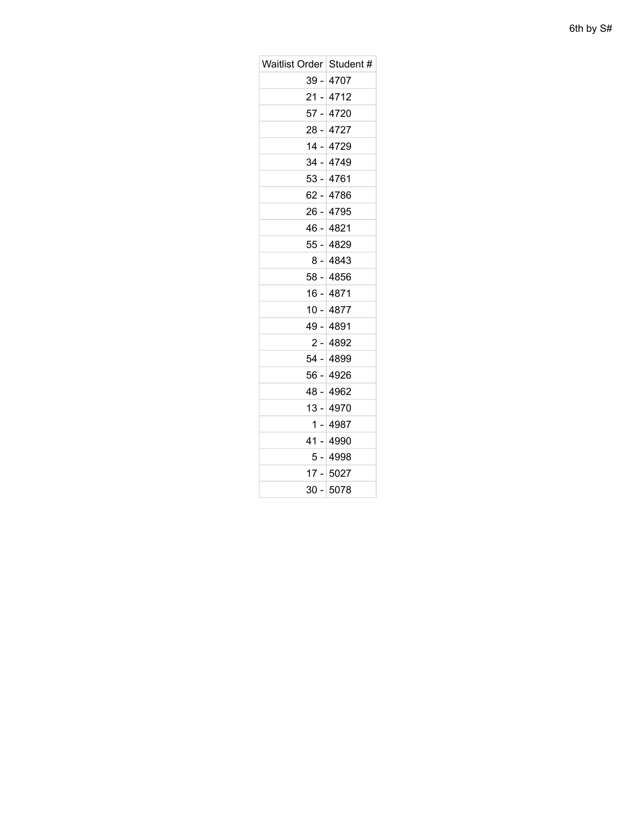| Waitlist Order   Student # |             |
|----------------------------|-------------|
|                            | 39 - 4707   |
|                            | $21 - 4712$ |
|                            | 57 - 4720   |
|                            | 28 - 4727   |
|                            | 14 - 4729   |
|                            | 34 - 4749   |
|                            | 53 - 4761   |
|                            | 62 - 4786   |
|                            | 26 - 4795   |
|                            | 46 - 4821   |
|                            | 55 - 4829   |
|                            | 8 - 4843    |
|                            | 58 - 4856   |
|                            | 16 - 4871   |
|                            | 10 - 4877   |
|                            | 49 - 4891   |
|                            | 2 - 4892    |
|                            | 54 - 4899   |
|                            | 56 - 4926   |
|                            | 48 - 4962   |
|                            | 13 - 4970   |
|                            | 1 - 4987    |
|                            | 41 - 4990   |
|                            | 5 - 4998    |
|                            | 17 - 5027   |
| $30 -$                     | 5078        |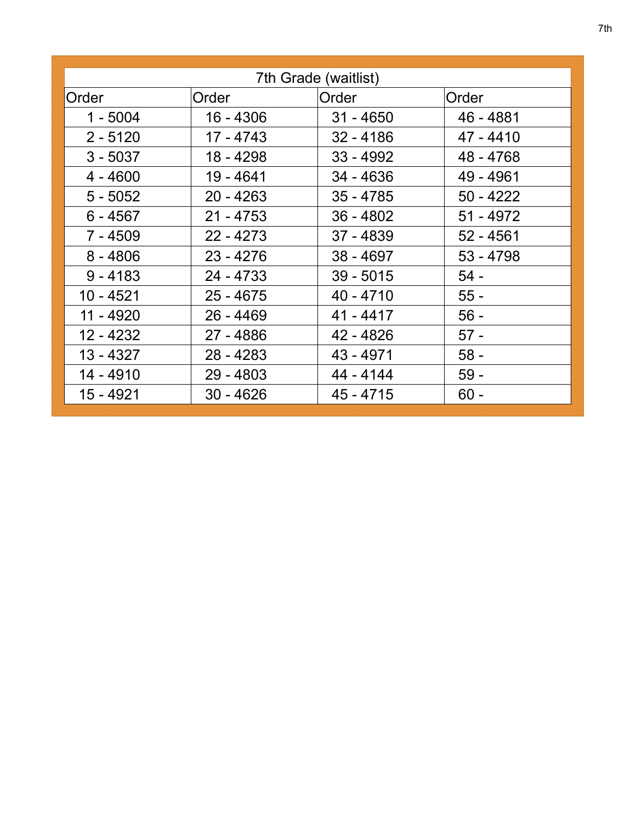| 7th Grade (waitlist) |             |             |             |
|----------------------|-------------|-------------|-------------|
| Order                | Order       | Order       | Order       |
| $1 - 5004$           | 16 - 4306   | $31 - 4650$ | 46 - 4881   |
| $2 - 5120$           | 17 - 4743   | $32 - 4186$ | 47 - 4410   |
| $3 - 5037$           | 18 - 4298   | $33 - 4992$ | 48 - 4768   |
| $4 - 4600$           | 19 - 4641   | $34 - 4636$ | 49 - 4961   |
| $5 - 5052$           | $20 - 4263$ | $35 - 4785$ | $50 - 4222$ |
| $6 - 4567$           | $21 - 4753$ | $36 - 4802$ | $51 - 4972$ |
| 7 - 4509             | $22 - 4273$ | $37 - 4839$ | $52 - 4561$ |
| $8 - 4806$           | $23 - 4276$ | $38 - 4697$ | $53 - 4798$ |
| $9 - 4183$           | $24 - 4733$ | $39 - 5015$ | $54 -$      |
| 10 - 4521            | $25 - 4675$ | $40 - 4710$ | $55 -$      |
| 11 - 4920            | $26 - 4469$ | $41 - 4417$ | $56 -$      |
| 12 - 4232            | 27 - 4886   | 42 - 4826   | $57 -$      |
| $13 - 4327$          | $28 - 4283$ | 43 - 4971   | $58 -$      |
| 14 - 4910            | $29 - 4803$ | 44 - 4144   | $59 -$      |
| 15 - 4921            | $30 - 4626$ | $45 - 4715$ | $60 -$      |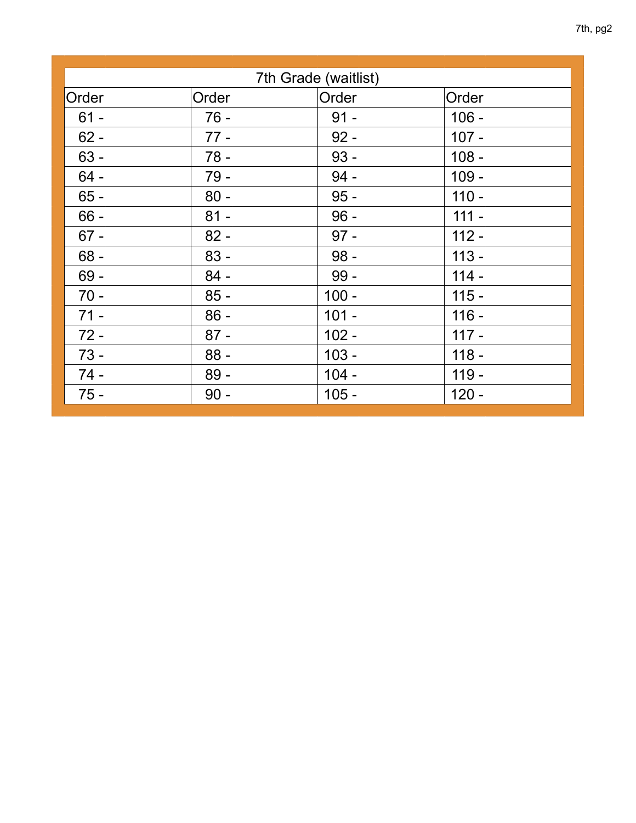| 7th Grade (waitlist) |        |         |         |  |
|----------------------|--------|---------|---------|--|
| Order                | Order  | Order   | Order   |  |
| $61 -$               | $76 -$ | $91 -$  | $106 -$ |  |
| $62 -$               | $77 -$ | $92 -$  | $107 -$ |  |
| $63 -$               | $78 -$ | $93 -$  | $108 -$ |  |
| $64 -$               | $79 -$ | $94 -$  | $109 -$ |  |
| $65 -$               | $80 -$ | $95 -$  | $110 -$ |  |
| $66 -$               | $81 -$ | $96 -$  | $111 -$ |  |
| $67 -$               | $82 -$ | $97 -$  | $112 -$ |  |
| $68 -$               | $83 -$ | $98 -$  | $113 -$ |  |
| $69 -$               | $84 -$ | $99 -$  | $114 -$ |  |
| $70 -$               | $85 -$ | $100 -$ | $115 -$ |  |
| $71 -$               | $86 -$ | $101 -$ | $116 -$ |  |
| $72 -$               | $87 -$ | $102 -$ | $117 -$ |  |
| $73 -$               | $88 -$ | $103 -$ | $118 -$ |  |
| $74 -$               | $89 -$ | $104 -$ | $119 -$ |  |
| $75 -$               | $90 -$ | $105 -$ | $120 -$ |  |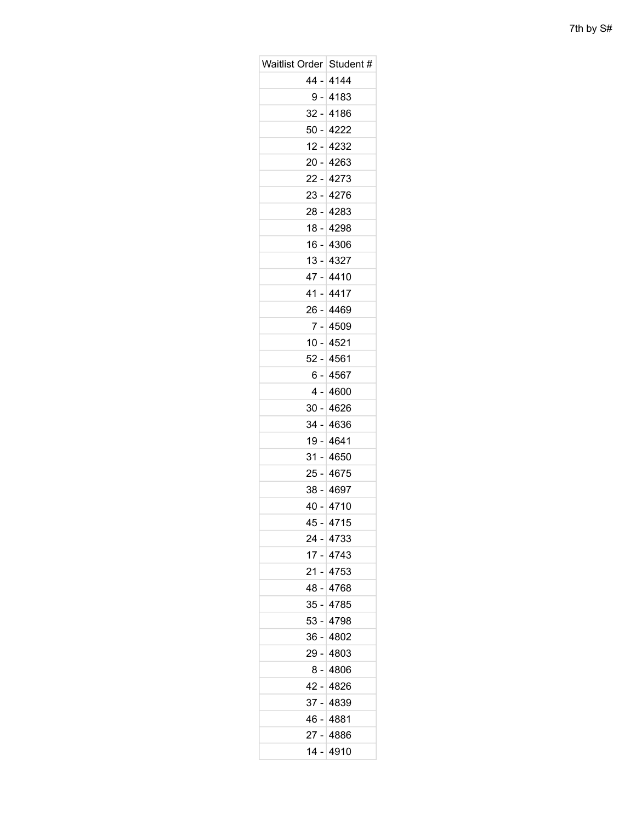| Waitlist Order   Student # |             |
|----------------------------|-------------|
|                            | 44 - 4144   |
|                            | 9 - 4183    |
| $32 -$                     | 4186        |
|                            | 50 - 4222   |
| 12 -                       | 4232        |
|                            | 20 - 4263   |
|                            | 22 - 4273   |
| $23 -$                     | 4276        |
|                            | 28 - 4283   |
|                            | 18 - 4298   |
|                            | $16 - 4306$ |
|                            | $13 - 4327$ |
| 47 -                       | 4410        |
|                            | 41 - 4417   |
|                            | 26 - 4469   |
| $7 -$                      | 4509        |
|                            | $10 - 4521$ |
|                            | 52 - 4561   |
| 6 -                        | 4567        |
|                            | $4 - 4600$  |
| 30 -                       | 4626        |
|                            | $34 - 4636$ |
|                            | 19 - 4641   |
| $31 -$                     | 4650        |
|                            | 25 - 4675   |
|                            | 38 - 4697   |
|                            | $40 - 4710$ |
|                            | 45 - 4715   |
|                            | 24 - 4733   |
|                            | $17 - 4743$ |
|                            | 21 - 4753   |
| 48 -                       | 4768        |
|                            | 35 - 4785   |
| 53 -                       | 4798        |
| 36 -                       | 4802        |
|                            | 29 - 4803   |
| 8 -                        | 4806        |
|                            | 42 - 4826   |
|                            | 37 - 4839   |
| - 46                       | 4881        |
|                            | 27 - 4886   |
|                            | 14 - 4910   |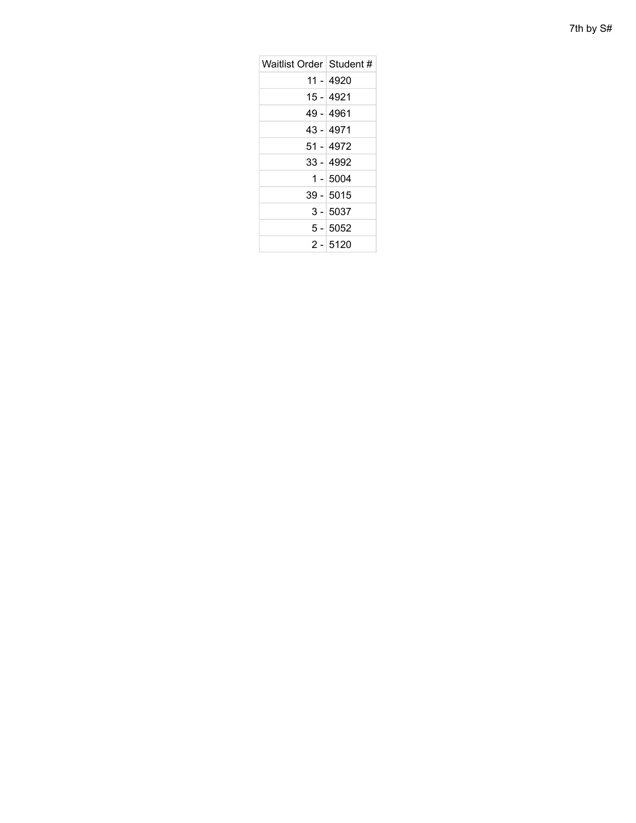| 7th by S# |  |  |
|-----------|--|--|
|-----------|--|--|

| Waitlist Order Student # |             |
|--------------------------|-------------|
|                          | 11 - 4920   |
|                          | 15 - 4921   |
|                          | 49 - 4961   |
|                          | 43 - 4971   |
|                          | 51 - 4972   |
|                          | 33 - 4992   |
|                          | $1 - 5004$  |
|                          | $39 - 5015$ |
|                          | $3 - 5037$  |
|                          | $5 - 5052$  |
|                          | $2 - 5120$  |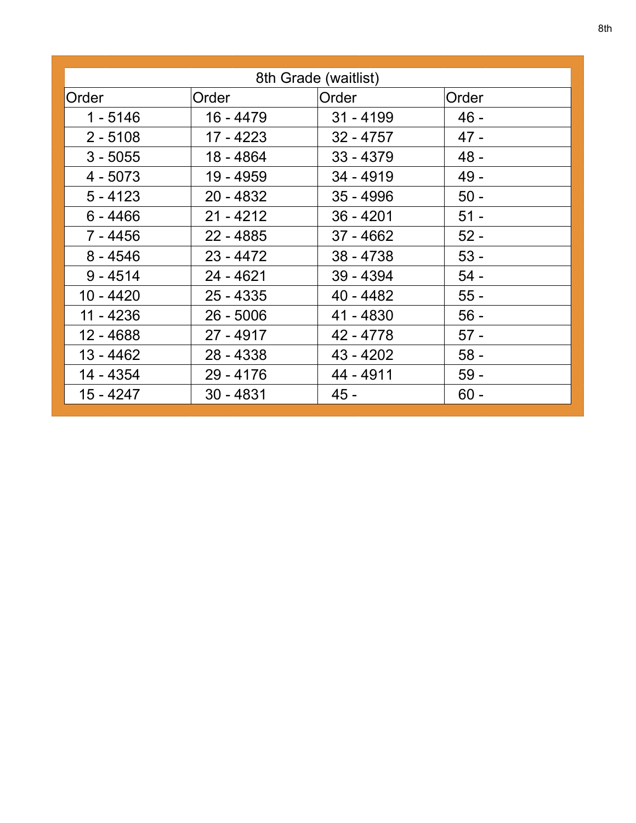| 8th Grade (waitlist) |             |             |        |
|----------------------|-------------|-------------|--------|
| Order                | Order       | Order       | Order  |
| $1 - 5146$           | 16 - 4479   | $31 - 4199$ | $46 -$ |
| $2 - 5108$           | 17 - 4223   | $32 - 4757$ | $47 -$ |
| $3 - 5055$           | 18 - 4864   | $33 - 4379$ | $48 -$ |
| $4 - 5073$           | 19 - 4959   | 34 - 4919   | $49 -$ |
| $5 - 4123$           | $20 - 4832$ | $35 - 4996$ | $50 -$ |
| $6 - 4466$           | $21 - 4212$ | $36 - 4201$ | $51 -$ |
| 7 - 4456             | $22 - 4885$ | 37 - 4662   | $52 -$ |
| $8 - 4546$           | $23 - 4472$ | $38 - 4738$ | $53 -$ |
| $9 - 4514$           | $24 - 4621$ | 39 - 4394   | $54 -$ |
| $10 - 4420$          | $25 - 4335$ | 40 - 4482   | $55 -$ |
| $11 - 4236$          | $26 - 5006$ | 41 - 4830   | $56 -$ |
| 12 - 4688            | 27 - 4917   | 42 - 4778   | $57 -$ |
| 13 - 4462            | 28 - 4338   | 43 - 4202   | $58 -$ |
| 14 - 4354            | $29 - 4176$ | 44 - 4911   | $59 -$ |
| $15 - 4247$          | $30 - 4831$ | $45 -$      | $60 -$ |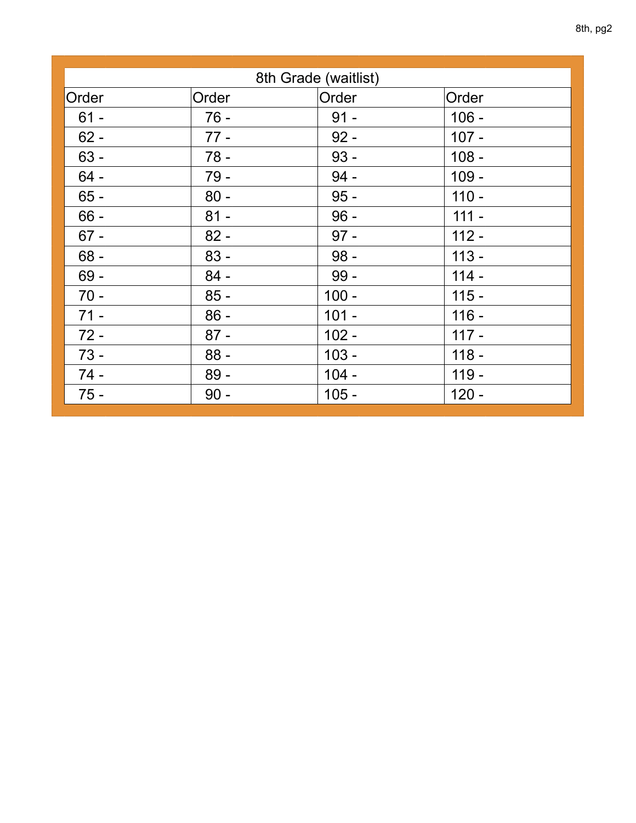| 8th Grade (waitlist) |        |         |         |  |
|----------------------|--------|---------|---------|--|
| Order                | Order  | Order   | Order   |  |
| $61 -$               | $76 -$ | $91 -$  | $106 -$ |  |
| $62 -$               | $77 -$ | $92 -$  | $107 -$ |  |
| $63 -$               | $78 -$ | $93 -$  | $108 -$ |  |
| $64 -$               | $79 -$ | $94 -$  | $109 -$ |  |
| $65 -$               | $80 -$ | $95 -$  | $110 -$ |  |
| $66 -$               | $81 -$ | $96 -$  | $111 -$ |  |
| $67 -$               | $82 -$ | $97 -$  | $112 -$ |  |
| $68 -$               | $83 -$ | $98 -$  | $113 -$ |  |
| $69 -$               | $84 -$ | $99-$   | $114 -$ |  |
| $70 -$               | $85 -$ | $100 -$ | $115 -$ |  |
| $71 -$               | $86 -$ | $101 -$ | $116 -$ |  |
| $72 -$               | $87 -$ | $102 -$ | $117 -$ |  |
| $73 -$               | $88 -$ | $103 -$ | $118 -$ |  |
| $74 -$               | $89 -$ | $104 -$ | $119 -$ |  |
| $75 -$               | $90 -$ | $105 -$ | $120 -$ |  |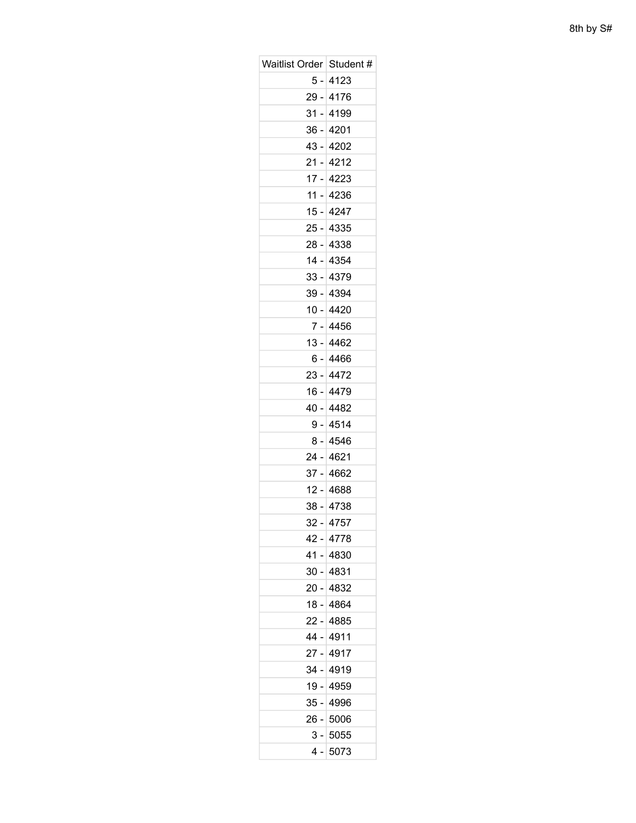| Waitlist Order   Student # |             |
|----------------------------|-------------|
|                            | 5 - 4123    |
|                            | 29 - 4176   |
| 31 -                       | 4199        |
|                            | 36 - 4201   |
|                            | 43 - 4202   |
| $21 -$                     | 4212        |
|                            | 17 - 4223   |
| 11 -                       | 4236        |
|                            | 15 - 4247   |
|                            | 25 - 4335   |
| $28 -$                     | 4338        |
|                            | 14 - 4354   |
|                            | 33 - 4379   |
| $39 -$                     | 4394        |
|                            | $10 - 4420$ |
| $7 -$                      | 4456        |
|                            | 13 - 4462   |
|                            | 6 - 4466    |
| 23 -                       | 4472        |
|                            | 16 - 4479   |
|                            | 40 - 4482   |
| 9 -                        | 4514        |
|                            | 8 - 4546    |
| 24 -                       | 4621        |
|                            | 37 - 4662   |
|                            | 12 - 4688   |
| 38 -                       | 4738        |
|                            | 32 - 4757   |
|                            | 42 - 4778   |
| 41 -                       | 4830        |
|                            | $30 - 4831$ |
|                            | 20 - 4832   |
|                            | 18 - 4864   |
|                            | 22 - 4885   |
| 44 -                       | 4911        |
|                            | 27 - 4917   |
|                            | 34 - 4919   |
| 19 -                       | 4959        |
|                            | 35 - 4996   |
|                            | 26 - 5006   |
|                            | $3 - 5055$  |
|                            | 4 - 5073    |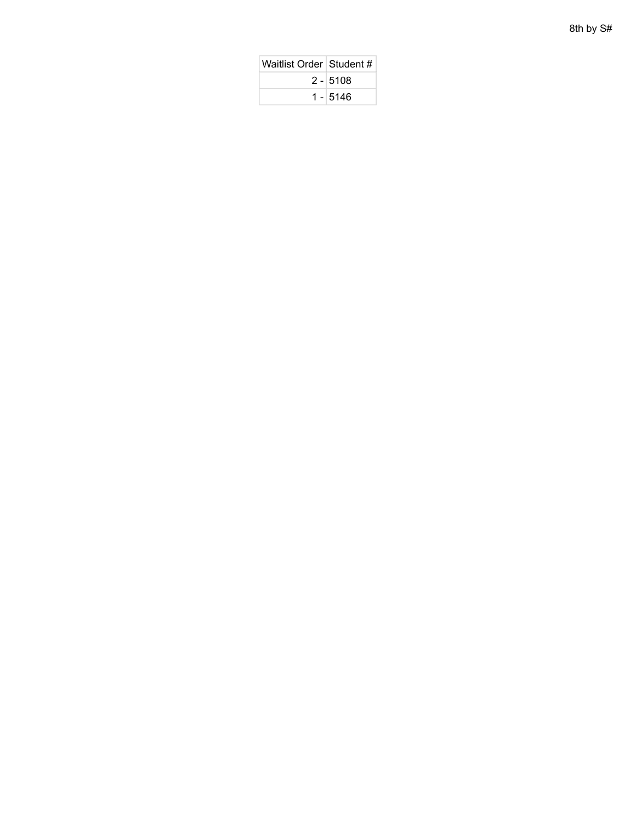| Waitlist Order   Student # |            |
|----------------------------|------------|
|                            | $2 - 5108$ |
|                            | $1 - 5146$ |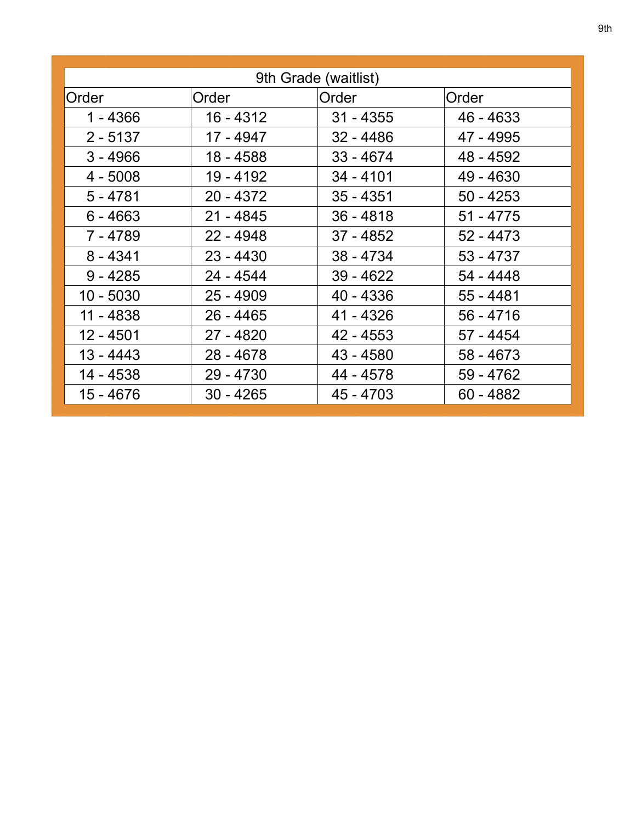| 9th Grade (waitlist) |             |             |             |
|----------------------|-------------|-------------|-------------|
| Order                | Order       | Order       | Order       |
| $1 - 4366$           | 16 - 4312   | $31 - 4355$ | 46 - 4633   |
| $2 - 5137$           | 17 - 4947   | $32 - 4486$ | 47 - 4995   |
| $3 - 4966$           | 18 - 4588   | $33 - 4674$ | 48 - 4592   |
| $4 - 5008$           | 19 - 4192   | $34 - 4101$ | 49 - 4630   |
| $5 - 4781$           | $20 - 4372$ | $35 - 4351$ | $50 - 4253$ |
| $6 - 4663$           | $21 - 4845$ | $36 - 4818$ | $51 - 4775$ |
| 7 - 4789             | $22 - 4948$ | 37 - 4852   | $52 - 4473$ |
| $8 - 4341$           | $23 - 4430$ | $38 - 4734$ | 53 - 4737   |
| $9 - 4285$           | 24 - 4544   | $39 - 4622$ | 54 - 4448   |
| 10 - 5030            | $25 - 4909$ | $40 - 4336$ | $55 - 4481$ |
| 11 - 4838            | $26 - 4465$ | 41 - 4326   | $56 - 4716$ |
| 12 - 4501            | $27 - 4820$ | 42 - 4553   | 57 - 4454   |
| 13 - 4443            | $28 - 4678$ | 43 - 4580   | 58 - 4673   |
| 14 - 4538            | 29 - 4730   | 44 - 4578   | 59 - 4762   |
| 15 - 4676            | $30 - 4265$ | 45 - 4703   | $60 - 4882$ |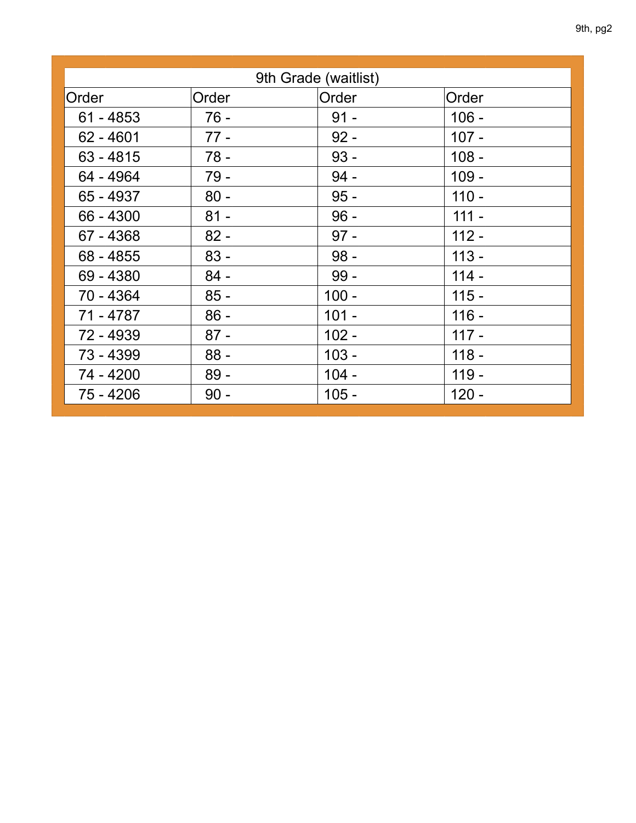|             |        | 9th Grade (waitlist) |         |
|-------------|--------|----------------------|---------|
| Order       | Order  | Order                | Order   |
| $61 - 4853$ | $76 -$ | $91 -$               | $106 -$ |
| $62 - 4601$ | $77 -$ | $92 -$               | $107 -$ |
| $63 - 4815$ | $78 -$ | $93 -$               | $108 -$ |
| 64 - 4964   | 79 -   | $94 -$               | $109 -$ |
| 65 - 4937   | $80 -$ | $95 -$               | $110 -$ |
| 66 - 4300   | $81 -$ | $96 -$               | $111 -$ |
| 67 - 4368   | $82 -$ | $97 -$               | $112 -$ |
| 68 - 4855   | $83 -$ | $98 -$               | $113 -$ |
| 69 - 4380   | $84 -$ | $99 -$               | $114 -$ |
| 70 - 4364   | $85 -$ | $100 -$              | $115 -$ |
| 71 - 4787   | $86 -$ | $101 -$              | $116 -$ |
| 72 - 4939   | $87 -$ | $102 -$              | $117 -$ |
| 73 - 4399   | $88 -$ | $103 -$              | $118 -$ |
| 74 - 4200   | $89 -$ | $104 -$              | $119 -$ |
| 75 - 4206   | $90 -$ | $105 -$              | $120 -$ |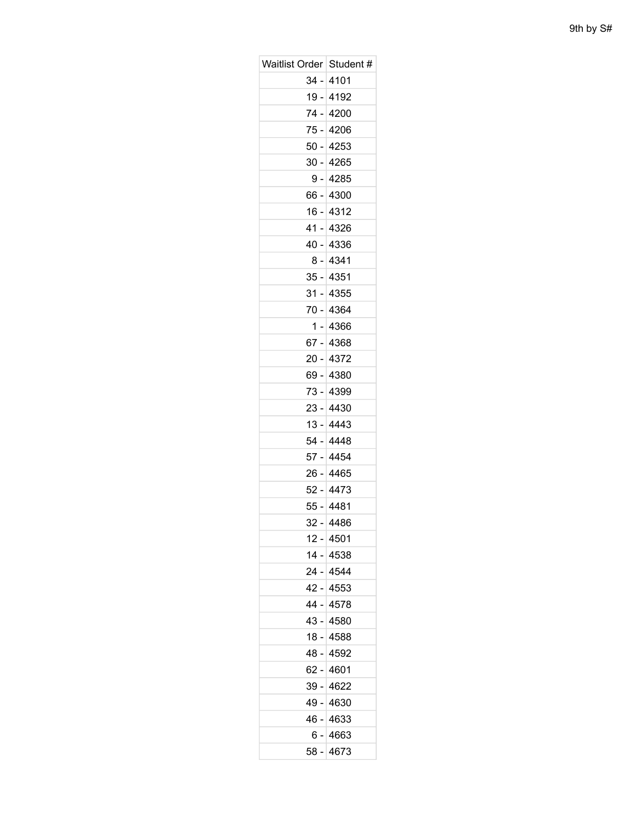| Waitlist Order   Student # |             |
|----------------------------|-------------|
|                            | $34 - 4101$ |
|                            | 19 - 4192   |
| 74 -                       | 4200        |
|                            | 75 - 4206   |
|                            | 50 - 4253   |
| $30 -$                     | 4265        |
|                            | 9 - 4285    |
| 66 -                       | 4300        |
|                            | 16 - 4312   |
|                            | 41 - 4326   |
| 40 -                       | 4336        |
|                            | 8 - 4341    |
|                            | 35 - 4351   |
| $31 -$                     | 4355        |
|                            | 70 - 4364   |
| 1 -                        | 4366        |
|                            | 67 - 4368   |
|                            | 20 - 4372   |
| 69 -                       | 4380        |
|                            | 73 - 4399   |
|                            | 23 - 4430   |
| $13 -$                     | 4443        |
|                            | 54 - 4448   |
| $57 -$                     | 4454        |
|                            | 26 - 4465   |
|                            | 52 - 4473   |
| 55 -                       | 4481        |
|                            | 32 - 4486   |
|                            | 12 - 4501   |
| 14 -                       | 4538        |
|                            | 24 - 4544   |
|                            | 42 - 4553   |
|                            | 44 - 4578   |
|                            | 43 - 4580   |
| 18 -                       | 4588        |
|                            | 48 - 4592   |
|                            | 62 - 4601   |
| 39 -                       | 4622        |
|                            | 49 - 4630   |
|                            | 46 - 4633   |
|                            | $6 - 4663$  |
|                            | 58 - 4673   |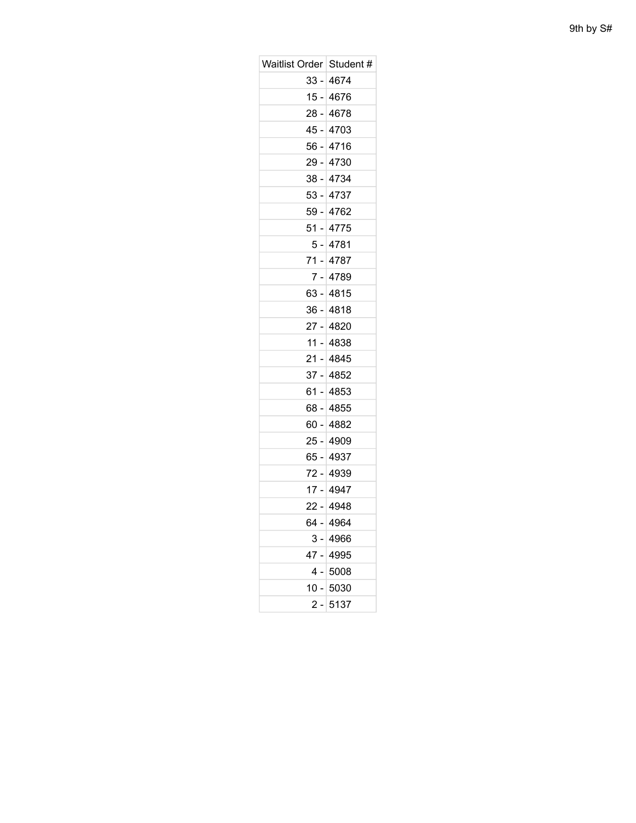| Waitlist Order   Student # |           |
|----------------------------|-----------|
|                            | 33 - 4674 |
|                            | 15 - 4676 |
|                            | 28 - 4678 |
|                            | 45 - 4703 |
|                            | 56 - 4716 |
|                            | 29 - 4730 |
|                            | 38 - 4734 |
|                            | 53 - 4737 |
|                            | 59 - 4762 |
|                            | 51 - 4775 |
|                            | 5 - 4781  |
|                            | 71 - 4787 |
|                            | 7 - 4789  |
|                            | 63 - 4815 |
|                            | 36 - 4818 |
|                            | 27 - 4820 |
|                            | 11 - 4838 |
|                            | 21 - 4845 |
|                            | 37 - 4852 |
|                            | 61 - 4853 |
|                            | 68 - 4855 |
|                            | 60 - 4882 |
|                            | 25 - 4909 |
|                            | 65 - 4937 |
|                            | 72 - 4939 |
|                            | 17 - 4947 |
|                            | 22 - 4948 |
| 64 -                       | 4964      |
| 3 -                        | 4966      |
| 47 -                       | 4995      |
| 4                          | 5008      |
| 10 - I                     | 5030      |
| 2 -                        | 5137      |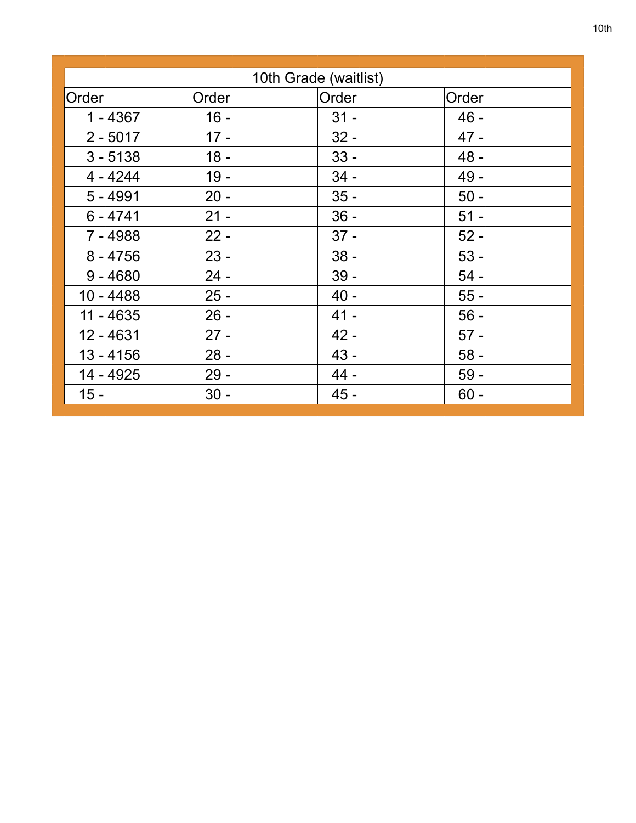|             |        | 10th Grade (waitlist) |        |
|-------------|--------|-----------------------|--------|
| Order       | Order  | Order                 | Order  |
| $1 - 4367$  | $16 -$ | $31 -$                | $46 -$ |
| $2 - 5017$  | $17 -$ | $32 -$                | $47 -$ |
|             | $18 -$ |                       |        |
| $3 - 5138$  |        | $33 -$                | 48 -   |
| $4 - 4244$  | $19 -$ | $34 -$                | 49 -   |
| $5 - 4991$  | $20 -$ | $35 -$                | $50 -$ |
| $6 - 4741$  | $21 -$ | $36 -$                | $51 -$ |
| $7 - 4988$  | $22 -$ | $37 -$                | $52 -$ |
| $8 - 4756$  | $23 -$ | $38 -$                | $53 -$ |
| $9 - 4680$  | $24 -$ | $39 -$                | $54-$  |
| $10 - 4488$ | $25 -$ | $40 -$                | $55 -$ |
| $11 - 4635$ | $26 -$ | $41 -$                | $56 -$ |
| 12 - 4631   | $27 -$ | $42 -$                | $57 -$ |
| $13 - 4156$ | $28 -$ | $43 -$                | $58 -$ |
| 14 - 4925   | $29 -$ | 44 -                  | $59 -$ |
| $15 -$      | $30 -$ | $45 -$                | $60 -$ |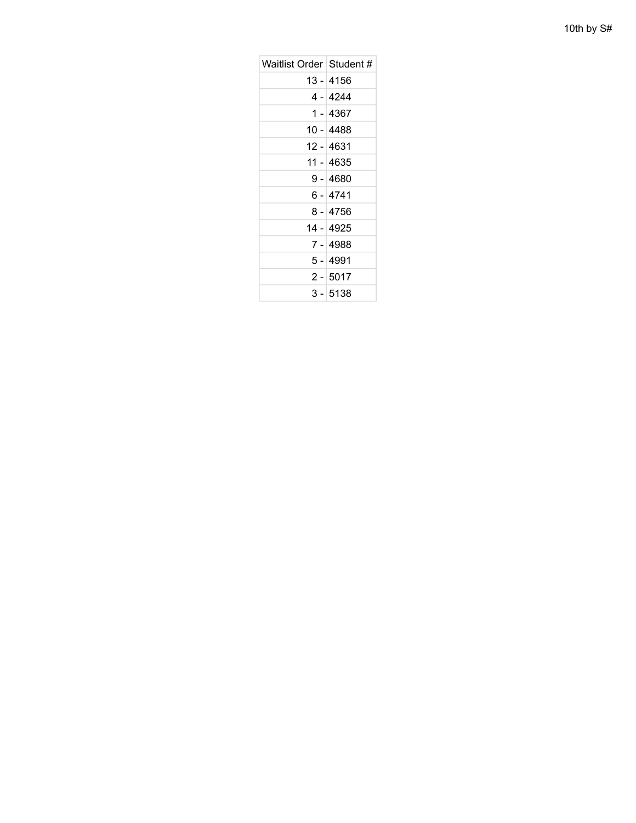| Waitlist Order   Student # |            |
|----------------------------|------------|
|                            | 13 - 4156  |
|                            | 4 - 4244   |
|                            | 1 - 4367   |
|                            | 10 - 4488  |
|                            | 12 - 4631  |
|                            | 11 - 4635  |
|                            | 9 - 4680   |
|                            | 6 - 4741   |
|                            | 8 - 4756   |
|                            | 14 - 4925  |
|                            | 7 - 4988   |
|                            | 5 - 4991   |
|                            | $2 - 5017$ |
|                            | $3 - 5138$ |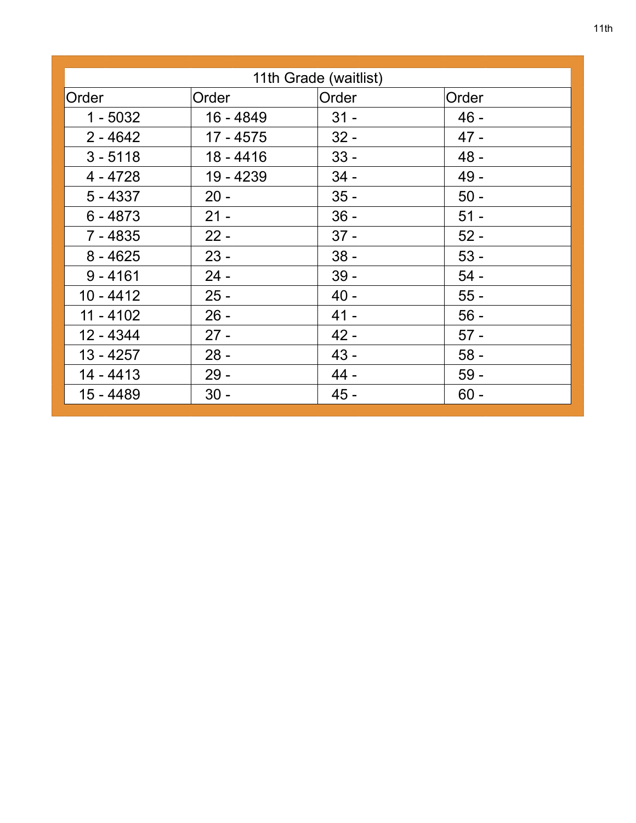|             |             | 11th Grade (waitlist) |        |
|-------------|-------------|-----------------------|--------|
| Order       | Order       | Order                 | Order  |
| $1 - 5032$  | 16 - 4849   | $31 -$                | $46 -$ |
| $2 - 4642$  | 17 - 4575   | $32 -$                | $47 -$ |
| $3 - 5118$  | $18 - 4416$ | $33 -$                | $48 -$ |
| $4 - 4728$  | 19 - 4239   | $34 -$                | $49 -$ |
| $5 - 4337$  | $20 -$      | $35 -$                | $50 -$ |
| $6 - 4873$  | $21 -$      | $36 -$                | $51 -$ |
| $7 - 4835$  | $22 -$      | $37 -$                | $52 -$ |
| $8 - 4625$  | $23 -$      | $38 -$                | $53 -$ |
| $9 - 4161$  | $24 -$      | $39 -$                | $54 -$ |
| $10 - 4412$ | $25 -$      | $40 -$                | $55 -$ |
| $11 - 4102$ | $26 -$      | $41 -$                | $56 -$ |
| 12 - 4344   | $27 -$      | $42 -$                | $57 -$ |
| $13 - 4257$ | $28 -$      | $43 -$                | $58 -$ |
| 14 - 4413   | $29 -$      | 44 -                  | $59 -$ |
| 15 - 4489   | $30 -$      | $45 -$                | $60 -$ |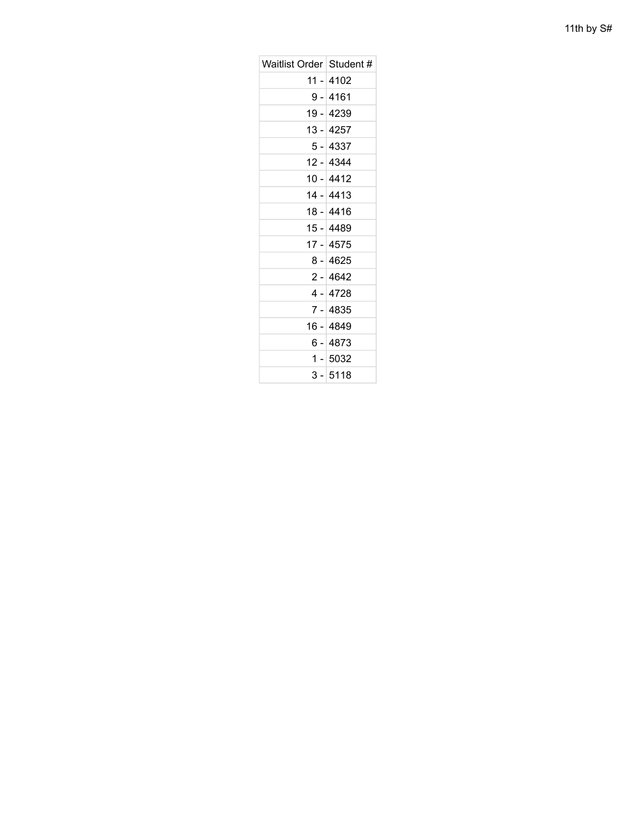| Waitlist Order   Student # |            |
|----------------------------|------------|
|                            | 11 - 4102  |
|                            | 9 - 4161   |
|                            | 19 - 4239  |
|                            | 13 - 4257  |
|                            | 5 - 4337   |
|                            | 12 - 4344  |
|                            | 10 - 4412  |
|                            | 14 - 4413  |
|                            | 18 - 4416  |
|                            | 15 - 4489  |
|                            | 17 - 4575  |
|                            | $8 - 4625$ |
|                            | $2 - 4642$ |
|                            | 4 - 4728   |
|                            | 7 - 4835   |
|                            | 16 - 4849  |
|                            | 6 - 4873   |
|                            | 1 - 5032   |
|                            | 3 - 5118   |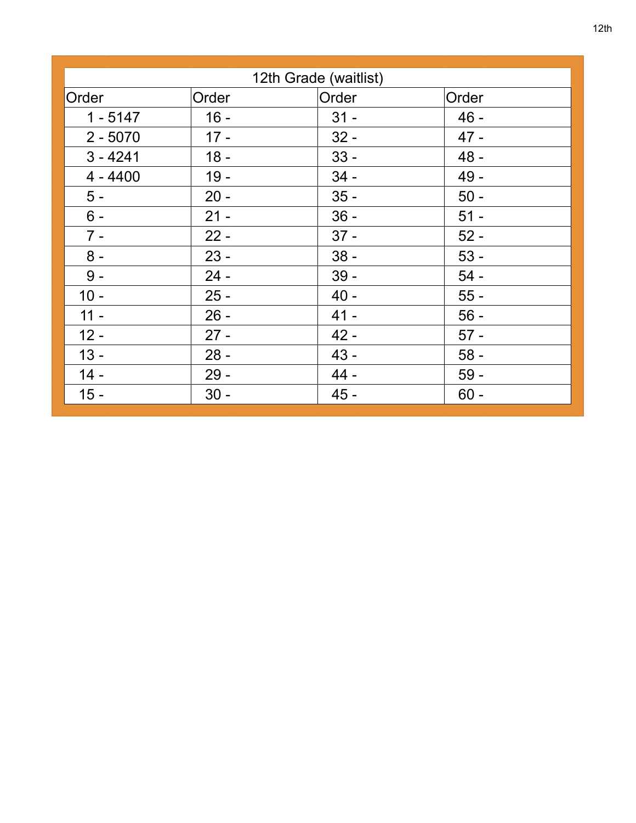|            |        | 12th Grade (waitlist) |        |
|------------|--------|-----------------------|--------|
|            |        |                       |        |
| Order      | Order  | Order                 | Order  |
| $1 - 5147$ | $16 -$ | $31 -$                | $46 -$ |
| $2 - 5070$ | $17 -$ | $32 -$                | $47 -$ |
| $3 - 4241$ | $18 -$ | $33 -$                | 48 -   |
| $4 - 4400$ | $19 -$ | $34 -$                | 49 -   |
| $5 -$      | $20 -$ | $35 -$                | $50 -$ |
| $6 -$      | $21 -$ | $36 -$                | $51 -$ |
| $7 -$      | $22 -$ | $37 -$                | $52 -$ |
| $8 -$      | $23 -$ | $38 -$                | $53 -$ |
| $9 -$      | $24 -$ | $39 -$                | $54-$  |
| $10 -$     | $25 -$ | $40 -$                | $55 -$ |
| $11 -$     | $26 -$ | $41 -$                | $56 -$ |
| $12 -$     | $27 -$ | $42 -$                | $57 -$ |
| $13 -$     | $28 -$ | $43 -$                | $58 -$ |
| $14 -$     | $29 -$ | 44 -                  | $59 -$ |
| $15 -$     | $30 -$ | $45 -$                | $60 -$ |